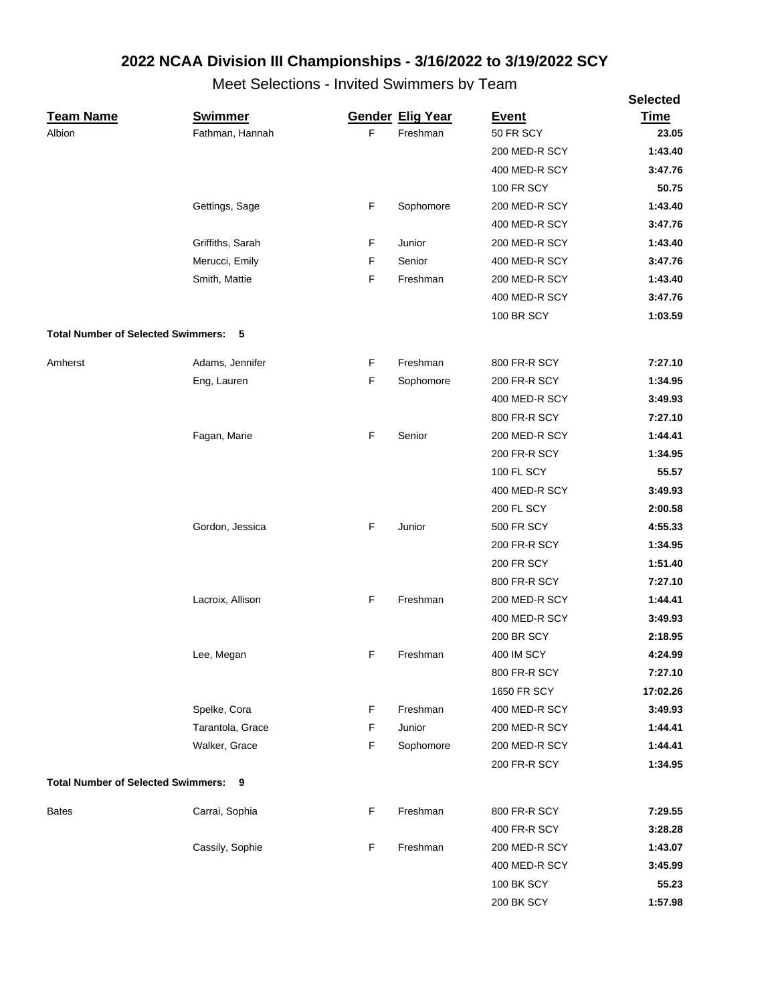|                                             |                  |    |                         |                   | <b>Selected</b> |
|---------------------------------------------|------------------|----|-------------------------|-------------------|-----------------|
| <b>Team Name</b>                            | <b>Swimmer</b>   |    | <b>Gender Elig Year</b> | <b>Event</b>      | <b>Time</b>     |
| Albion                                      | Fathman, Hannah  | F. | Freshman                | 50 FR SCY         | 23.05           |
|                                             |                  |    |                         | 200 MED-R SCY     | 1:43.40         |
|                                             |                  |    |                         | 400 MED-R SCY     | 3:47.76         |
|                                             |                  |    |                         | <b>100 FR SCY</b> | 50.75           |
|                                             | Gettings, Sage   | F  | Sophomore               | 200 MED-R SCY     | 1:43.40         |
|                                             |                  |    |                         | 400 MED-R SCY     | 3:47.76         |
|                                             | Griffiths, Sarah | F  | Junior                  | 200 MED-R SCY     | 1:43.40         |
|                                             | Merucci, Emily   | F  | Senior                  | 400 MED-R SCY     | 3:47.76         |
|                                             | Smith, Mattie    | F  | Freshman                | 200 MED-R SCY     | 1:43.40         |
|                                             |                  |    |                         | 400 MED-R SCY     | 3:47.76         |
|                                             |                  |    |                         | <b>100 BR SCY</b> | 1:03.59         |
| <b>Total Number of Selected Swimmers: 5</b> |                  |    |                         |                   |                 |
| Amherst                                     | Adams, Jennifer  | F  | Freshman                | 800 FR-R SCY      | 7:27.10         |
|                                             | Eng, Lauren      | F  | Sophomore               | 200 FR-R SCY      | 1:34.95         |
|                                             |                  |    |                         | 400 MED-R SCY     | 3:49.93         |
|                                             |                  |    |                         | 800 FR-R SCY      | 7:27.10         |
|                                             | Fagan, Marie     | F  | Senior                  | 200 MED-R SCY     | 1:44.41         |
|                                             |                  |    |                         | 200 FR-R SCY      | 1:34.95         |
|                                             |                  |    |                         | <b>100 FL SCY</b> | 55.57           |
|                                             |                  |    |                         | 400 MED-R SCY     | 3:49.93         |
|                                             |                  |    |                         | <b>200 FL SCY</b> | 2:00.58         |
|                                             | Gordon, Jessica  | F  | Junior                  | <b>500 FR SCY</b> | 4:55.33         |
|                                             |                  |    |                         | 200 FR-R SCY      | 1:34.95         |
|                                             |                  |    |                         | <b>200 FR SCY</b> | 1:51.40         |
|                                             |                  |    |                         | 800 FR-R SCY      | 7:27.10         |
|                                             | Lacroix, Allison | F  | Freshman                | 200 MED-R SCY     | 1:44.41         |
|                                             |                  |    |                         | 400 MED-R SCY     | 3:49.93         |
|                                             |                  |    |                         | <b>200 BR SCY</b> | 2:18.95         |
|                                             | Lee, Megan       | F  | Freshman                | <b>400 IM SCY</b> | 4:24.99         |
|                                             |                  |    |                         | 800 FR-R SCY      | 7:27.10         |
|                                             |                  |    |                         | 1650 FR SCY       | 17:02.26        |
|                                             | Spelke, Cora     | F  | Freshman                | 400 MED-R SCY     | 3:49.93         |
|                                             | Tarantola, Grace | F  | Junior                  | 200 MED-R SCY     | 1:44.41         |
|                                             | Walker, Grace    | F  | Sophomore               | 200 MED-R SCY     | 1:44.41         |
|                                             |                  |    |                         | 200 FR-R SCY      | 1:34.95         |
| <b>Total Number of Selected Swimmers:</b>   | - 9              |    |                         |                   |                 |
| <b>Bates</b>                                | Carrai, Sophia   | F  | Freshman                | 800 FR-R SCY      | 7:29.55         |
|                                             |                  |    |                         | 400 FR-R SCY      | 3:28.28         |
|                                             | Cassily, Sophie  | F  | Freshman                | 200 MED-R SCY     | 1:43.07         |
|                                             |                  |    |                         | 400 MED-R SCY     | 3:45.99         |
|                                             |                  |    |                         | <b>100 BK SCY</b> | 55.23           |
|                                             |                  |    |                         | <b>200 BK SCY</b> | 1:57.98         |
|                                             |                  |    |                         |                   |                 |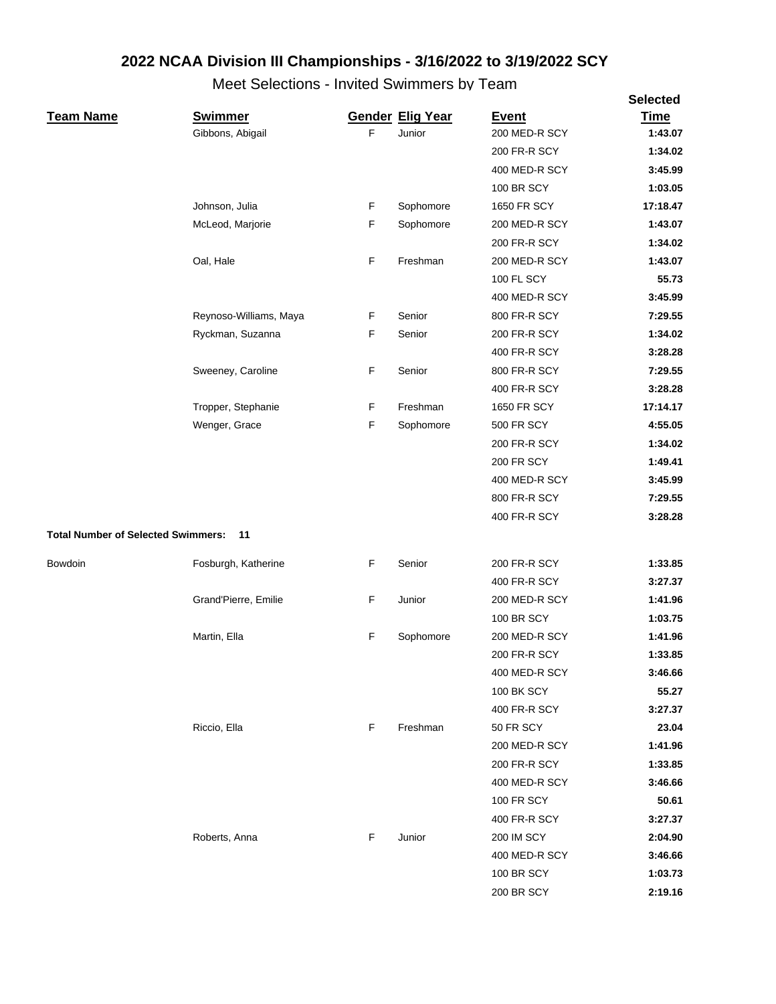|                                           |                        |             |                         |                   | <b>Selected</b> |
|-------------------------------------------|------------------------|-------------|-------------------------|-------------------|-----------------|
| <b>Team Name</b>                          | <b>Swimmer</b>         |             | <b>Gender Elig Year</b> | <b>Event</b>      | Time            |
|                                           | Gibbons, Abigail       | F           | Junior                  | 200 MED-R SCY     | 1:43.07         |
|                                           |                        |             |                         | 200 FR-R SCY      | 1:34.02         |
|                                           |                        |             |                         | 400 MED-R SCY     | 3:45.99         |
|                                           |                        |             |                         | <b>100 BR SCY</b> | 1:03.05         |
|                                           | Johnson, Julia         | F           | Sophomore               | 1650 FR SCY       | 17:18.47        |
|                                           | McLeod, Marjorie       | F           | Sophomore               | 200 MED-R SCY     | 1:43.07         |
|                                           |                        |             |                         | 200 FR-R SCY      | 1:34.02         |
|                                           | Oal, Hale              | $\mathsf F$ | Freshman                | 200 MED-R SCY     | 1:43.07         |
|                                           |                        |             |                         | <b>100 FL SCY</b> | 55.73           |
|                                           |                        |             |                         | 400 MED-R SCY     | 3:45.99         |
|                                           | Reynoso-Williams, Maya | F           | Senior                  | 800 FR-R SCY      | 7:29.55         |
|                                           | Ryckman, Suzanna       | F           | Senior                  | 200 FR-R SCY      | 1:34.02         |
|                                           |                        |             |                         | 400 FR-R SCY      | 3:28.28         |
|                                           | Sweeney, Caroline      | F           | Senior                  | 800 FR-R SCY      | 7:29.55         |
|                                           |                        |             |                         | 400 FR-R SCY      | 3:28.28         |
|                                           | Tropper, Stephanie     | F           | Freshman                | 1650 FR SCY       | 17:14.17        |
|                                           | Wenger, Grace          | F           | Sophomore               | <b>500 FR SCY</b> | 4:55.05         |
|                                           |                        |             |                         | 200 FR-R SCY      | 1:34.02         |
|                                           |                        |             |                         | <b>200 FR SCY</b> | 1:49.41         |
|                                           |                        |             |                         | 400 MED-R SCY     | 3:45.99         |
|                                           |                        |             |                         | 800 FR-R SCY      | 7:29.55         |
|                                           |                        |             |                         | 400 FR-R SCY      | 3:28.28         |
| <b>Total Number of Selected Swimmers:</b> | 11                     |             |                         |                   |                 |
| Bowdoin                                   | Fosburgh, Katherine    | F           | Senior                  | 200 FR-R SCY      | 1:33.85         |
|                                           |                        |             |                         | 400 FR-R SCY      | 3:27.37         |
|                                           | Grand'Pierre, Emilie   | F           | Junior                  | 200 MED-R SCY     | 1:41.96         |
|                                           |                        |             |                         | <b>100 BR SCY</b> | 1:03.75         |
|                                           | Martin, Ella           | F           | Sophomore               | 200 MED-R SCY     | 1:41.96         |
|                                           |                        |             |                         | 200 FR-R SCY      | 1:33.85         |
|                                           |                        |             |                         | 400 MED-R SCY     | 3:46.66         |
|                                           |                        |             |                         | <b>100 BK SCY</b> | 55.27           |
|                                           |                        |             |                         | 400 FR-R SCY      | 3:27.37         |
|                                           | Riccio, Ella           | F           | Freshman                | 50 FR SCY         | 23.04           |
|                                           |                        |             |                         | 200 MED-R SCY     | 1:41.96         |
|                                           |                        |             |                         | 200 FR-R SCY      | 1:33.85         |
|                                           |                        |             |                         | 400 MED-R SCY     | 3:46.66         |
|                                           |                        |             |                         | <b>100 FR SCY</b> | 50.61           |
|                                           |                        |             |                         | 400 FR-R SCY      | 3:27.37         |
|                                           | Roberts, Anna          | F           | Junior                  | <b>200 IM SCY</b> | 2:04.90         |
|                                           |                        |             |                         | 400 MED-R SCY     | 3:46.66         |
|                                           |                        |             |                         | 100 BR SCY        | 1:03.73         |
|                                           |                        |             |                         | <b>200 BR SCY</b> | 2:19.16         |
|                                           |                        |             |                         |                   |                 |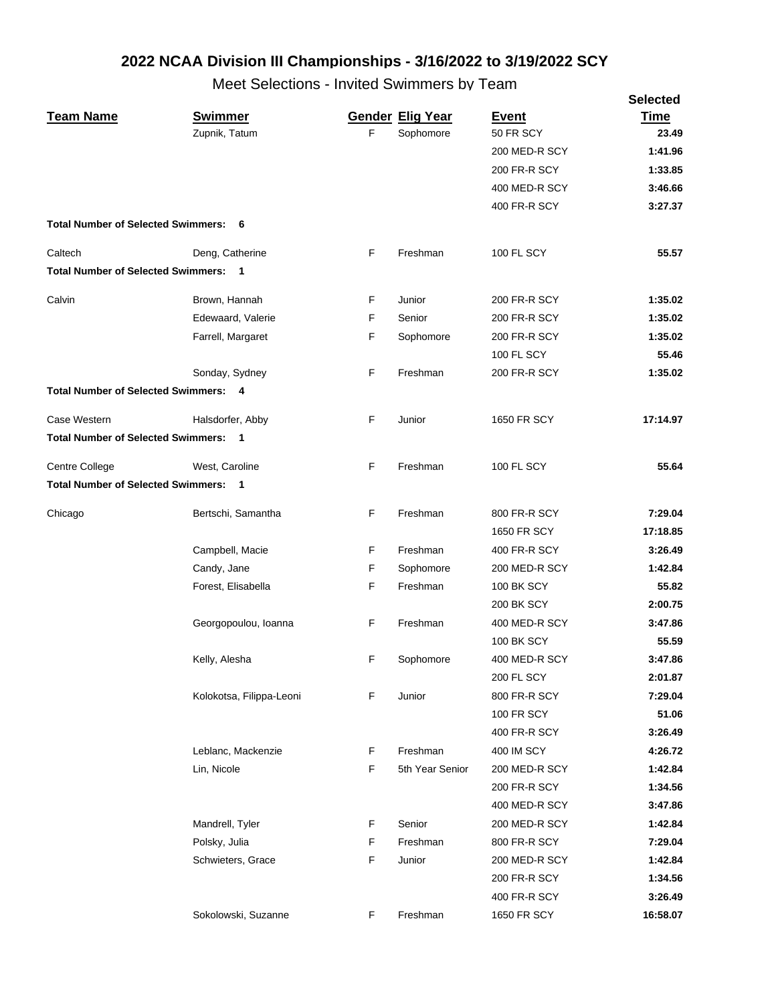|                                             |                          |    |                         |                   | <b>Selected</b> |
|---------------------------------------------|--------------------------|----|-------------------------|-------------------|-----------------|
| <b>Team Name</b>                            | <b>Swimmer</b>           |    | <b>Gender Elig Year</b> | <b>Event</b>      | <b>Time</b>     |
|                                             | Zupnik, Tatum            | F  | Sophomore               | 50 FR SCY         | 23.49           |
|                                             |                          |    |                         | 200 MED-R SCY     | 1:41.96         |
|                                             |                          |    |                         | 200 FR-R SCY      | 1:33.85         |
|                                             |                          |    |                         | 400 MED-R SCY     | 3:46.66         |
|                                             |                          |    |                         | 400 FR-R SCY      | 3:27.37         |
| <b>Total Number of Selected Swimmers: 6</b> |                          |    |                         |                   |                 |
| Caltech                                     | Deng, Catherine          | F  | Freshman                | <b>100 FL SCY</b> | 55.57           |
| <b>Total Number of Selected Swimmers: 1</b> |                          |    |                         |                   |                 |
| Calvin                                      | Brown, Hannah            | F  | Junior                  | 200 FR-R SCY      | 1:35.02         |
|                                             | Edewaard, Valerie        | F  | Senior                  | 200 FR-R SCY      | 1:35.02         |
|                                             | Farrell, Margaret        | F  | Sophomore               | 200 FR-R SCY      | 1:35.02         |
|                                             |                          |    |                         | 100 FL SCY        | 55.46           |
|                                             | Sonday, Sydney           | F  | Freshman                | 200 FR-R SCY      | 1:35.02         |
| <b>Total Number of Selected Swimmers: 4</b> |                          |    |                         |                   |                 |
| Case Western                                | Halsdorfer, Abby         | F  | Junior                  | 1650 FR SCY       | 17:14.97        |
| <b>Total Number of Selected Swimmers: 1</b> |                          |    |                         |                   |                 |
| Centre College                              | West, Caroline           | F  | Freshman                | <b>100 FL SCY</b> | 55.64           |
| <b>Total Number of Selected Swimmers: 1</b> |                          |    |                         |                   |                 |
|                                             |                          |    |                         |                   |                 |
| Chicago                                     | Bertschi, Samantha       | F  | Freshman                | 800 FR-R SCY      | 7:29.04         |
|                                             |                          |    |                         | 1650 FR SCY       | 17:18.85        |
|                                             | Campbell, Macie          | F. | Freshman                | 400 FR-R SCY      | 3:26.49         |
|                                             | Candy, Jane              | F  | Sophomore               | 200 MED-R SCY     | 1:42.84         |
|                                             | Forest, Elisabella       | F  | Freshman                | <b>100 BK SCY</b> | 55.82           |
|                                             |                          |    |                         | <b>200 BK SCY</b> | 2:00.75         |
|                                             | Georgopoulou, Ioanna     | F  | Freshman                | 400 MED-R SCY     | 3:47.86         |
|                                             |                          |    |                         | 100 BK SCY        | 55.59           |
|                                             | Kelly, Alesha            | F. | Sophomore               | 400 MED-R SCY     | 3:47.86         |
|                                             |                          |    |                         | 200 FL SCY        | 2:01.87         |
|                                             | Kolokotsa, Filippa-Leoni | F  | Junior                  | 800 FR-R SCY      | 7:29.04         |
|                                             |                          |    |                         | <b>100 FR SCY</b> | 51.06           |
|                                             |                          |    |                         | 400 FR-R SCY      | 3:26.49         |
|                                             | Leblanc, Mackenzie       | F  | Freshman                | 400 IM SCY        | 4:26.72         |
|                                             | Lin, Nicole              | F  | 5th Year Senior         | 200 MED-R SCY     | 1:42.84         |
|                                             |                          |    |                         | 200 FR-R SCY      | 1:34.56         |
|                                             |                          |    |                         | 400 MED-R SCY     | 3:47.86         |
|                                             | Mandrell, Tyler          | F. | Senior                  | 200 MED-R SCY     | 1:42.84         |
|                                             | Polsky, Julia            | F  | Freshman                | 800 FR-R SCY      | 7:29.04         |
|                                             | Schwieters, Grace        | F  | Junior                  | 200 MED-R SCY     | 1:42.84         |
|                                             |                          |    |                         | 200 FR-R SCY      | 1:34.56         |
|                                             |                          |    |                         | 400 FR-R SCY      | 3:26.49         |
|                                             | Sokolowski, Suzanne      | F. | Freshman                | 1650 FR SCY       | 16:58.07        |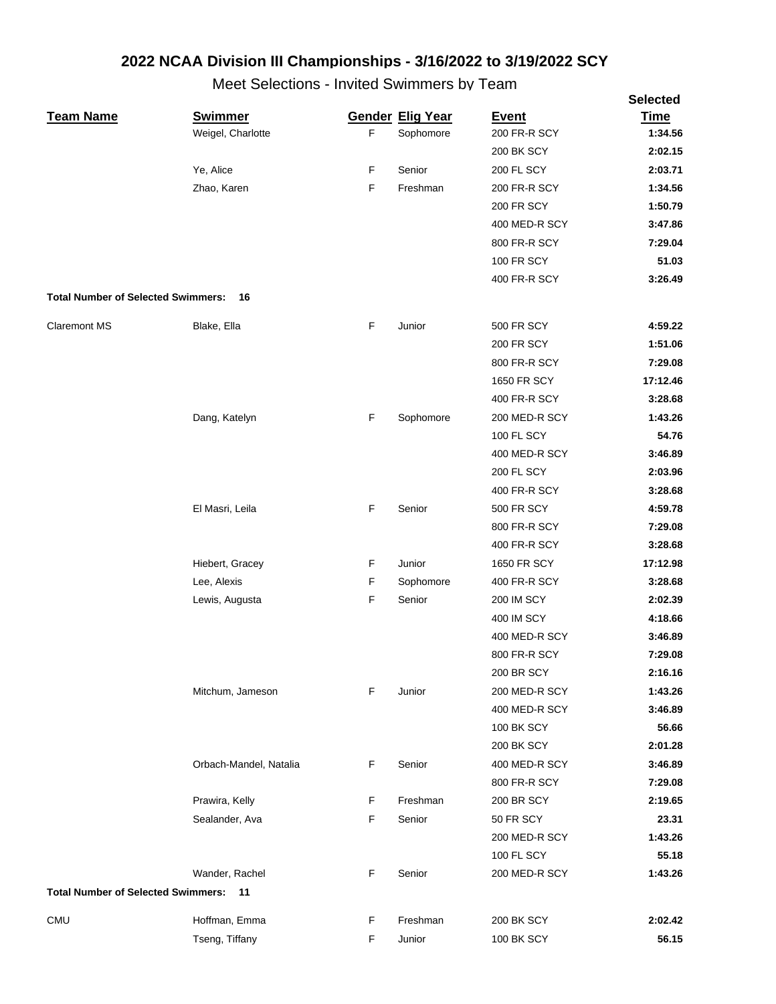|                                           |                        |             |                         |                   | <b>Selected</b> |
|-------------------------------------------|------------------------|-------------|-------------------------|-------------------|-----------------|
| <b>Team Name</b>                          | <b>Swimmer</b>         |             | <b>Gender Elig Year</b> | <b>Event</b>      | <b>Time</b>     |
|                                           | Weigel, Charlotte      | F           | Sophomore               | 200 FR-R SCY      | 1:34.56         |
|                                           |                        |             |                         | <b>200 BK SCY</b> | 2:02.15         |
|                                           | Ye, Alice              | F           | Senior                  | 200 FL SCY        | 2:03.71         |
|                                           | Zhao, Karen            | F           | Freshman                | 200 FR-R SCY      | 1:34.56         |
|                                           |                        |             |                         | <b>200 FR SCY</b> | 1:50.79         |
|                                           |                        |             |                         | 400 MED-R SCY     | 3:47.86         |
|                                           |                        |             |                         | 800 FR-R SCY      | 7:29.04         |
|                                           |                        |             |                         | <b>100 FR SCY</b> | 51.03           |
|                                           |                        |             |                         | 400 FR-R SCY      | 3:26.49         |
| <b>Total Number of Selected Swimmers:</b> | 16                     |             |                         |                   |                 |
| <b>Claremont MS</b>                       | Blake, Ella            | F           | Junior                  | <b>500 FR SCY</b> | 4:59.22         |
|                                           |                        |             |                         | <b>200 FR SCY</b> | 1:51.06         |
|                                           |                        |             |                         | 800 FR-R SCY      | 7:29.08         |
|                                           |                        |             |                         | 1650 FR SCY       | 17:12.46        |
|                                           |                        |             |                         | 400 FR-R SCY      | 3:28.68         |
|                                           | Dang, Katelyn          | F           | Sophomore               | 200 MED-R SCY     | 1:43.26         |
|                                           |                        |             |                         | <b>100 FL SCY</b> | 54.76           |
|                                           |                        |             |                         | 400 MED-R SCY     | 3:46.89         |
|                                           |                        |             |                         | <b>200 FL SCY</b> | 2:03.96         |
|                                           |                        |             |                         | 400 FR-R SCY      | 3:28.68         |
|                                           | El Masri, Leila        | F           | Senior                  | <b>500 FR SCY</b> | 4:59.78         |
|                                           |                        |             |                         | 800 FR-R SCY      | 7:29.08         |
|                                           |                        |             |                         | 400 FR-R SCY      | 3:28.68         |
|                                           | Hiebert, Gracey        | F           | Junior                  | 1650 FR SCY       | 17:12.98        |
|                                           | Lee, Alexis            | F           | Sophomore               | 400 FR-R SCY      | 3:28.68         |
|                                           | Lewis, Augusta         | $\mathsf F$ | Senior                  | <b>200 IM SCY</b> | 2:02.39         |
|                                           |                        |             |                         | 400 IM SCY        | 4:18.66         |
|                                           |                        |             |                         | 400 MED-R SCY     | 3:46.89         |
|                                           |                        |             |                         | 800 FR-R SCY      | 7:29.08         |
|                                           |                        |             |                         | <b>200 BR SCY</b> | 2:16.16         |
|                                           | Mitchum, Jameson       | F           | Junior                  | 200 MED-R SCY     | 1:43.26         |
|                                           |                        |             |                         | 400 MED-R SCY     | 3:46.89         |
|                                           |                        |             |                         | <b>100 BK SCY</b> | 56.66           |
|                                           |                        |             |                         | <b>200 BK SCY</b> | 2:01.28         |
|                                           | Orbach-Mandel, Natalia | F           | Senior                  | 400 MED-R SCY     | 3:46.89         |
|                                           |                        |             |                         | 800 FR-R SCY      | 7:29.08         |
|                                           | Prawira, Kelly         | F           | Freshman                | <b>200 BR SCY</b> | 2:19.65         |
|                                           | Sealander, Ava         | F           | Senior                  | 50 FR SCY         | 23.31           |
|                                           |                        |             |                         | 200 MED-R SCY     | 1:43.26         |
|                                           |                        |             |                         | 100 FL SCY        | 55.18           |
|                                           | Wander, Rachel         | F           | Senior                  | 200 MED-R SCY     | 1:43.26         |
| <b>Total Number of Selected Swimmers:</b> | 11                     |             |                         |                   |                 |
|                                           |                        |             |                         |                   |                 |
| <b>CMU</b>                                | Hoffman, Emma          | F           | Freshman                | <b>200 BK SCY</b> | 2:02.42         |
|                                           | Tseng, Tiffany         | F           | Junior                  | 100 BK SCY        | 56.15           |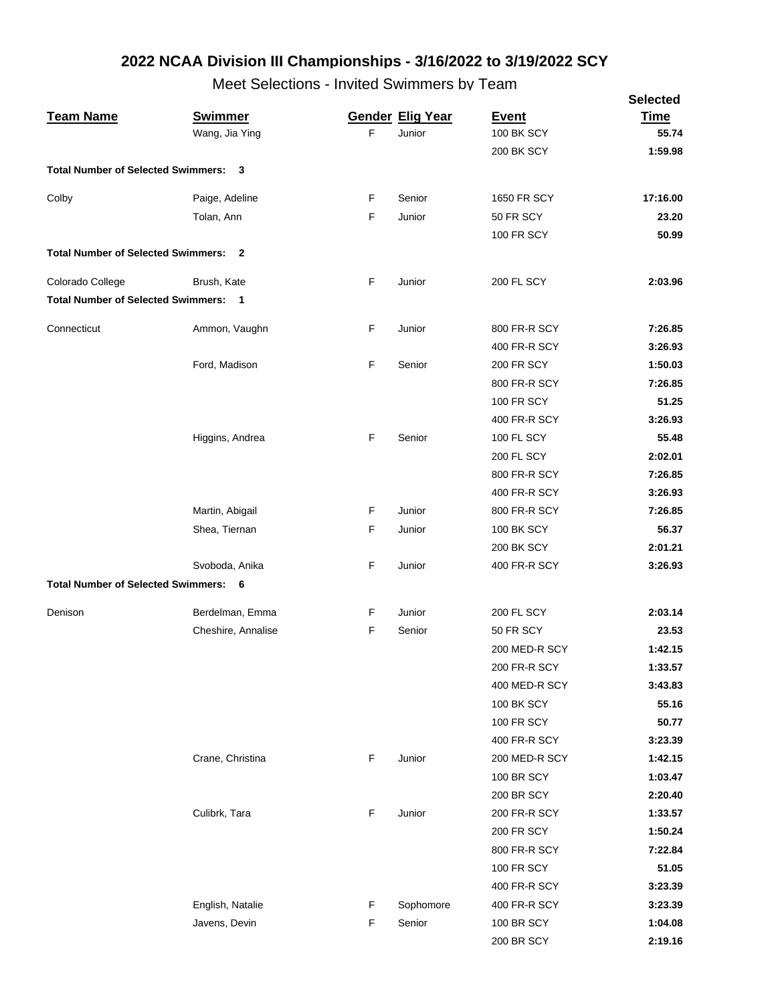|                                           |                         |   |                         |                   | <b>Selected</b> |
|-------------------------------------------|-------------------------|---|-------------------------|-------------------|-----------------|
| <b>Team Name</b>                          | <b>Swimmer</b>          |   | <b>Gender Elig Year</b> | <b>Event</b>      | <b>Time</b>     |
|                                           | Wang, Jia Ying          | F | Junior                  | <b>100 BK SCY</b> | 55.74           |
|                                           |                         |   |                         | 200 BK SCY        | 1:59.98         |
| <b>Total Number of Selected Swimmers:</b> | 3                       |   |                         |                   |                 |
| Colby                                     | Paige, Adeline          | F | Senior                  | 1650 FR SCY       | 17:16.00        |
|                                           | Tolan, Ann              | F | Junior                  | 50 FR SCY         | 23.20           |
|                                           |                         |   |                         | <b>100 FR SCY</b> | 50.99           |
| <b>Total Number of Selected Swimmers:</b> | $\overline{\mathbf{2}}$ |   |                         |                   |                 |
| Colorado College                          | Brush, Kate             | F | Junior                  | <b>200 FL SCY</b> | 2:03.96         |
| <b>Total Number of Selected Swimmers:</b> | $\blacksquare$          |   |                         |                   |                 |
|                                           |                         |   |                         |                   |                 |
| Connecticut                               | Ammon, Vaughn           | F | Junior                  | 800 FR-R SCY      | 7:26.85         |
|                                           |                         |   |                         | 400 FR-R SCY      | 3:26.93         |
|                                           | Ford, Madison           | F | Senior                  | <b>200 FR SCY</b> | 1:50.03         |
|                                           |                         |   |                         | 800 FR-R SCY      | 7:26.85         |
|                                           |                         |   |                         | <b>100 FR SCY</b> | 51.25           |
|                                           |                         |   |                         | 400 FR-R SCY      | 3:26.93         |
|                                           | Higgins, Andrea         | F | Senior                  | <b>100 FL SCY</b> | 55.48           |
|                                           |                         |   |                         | <b>200 FL SCY</b> | 2:02.01         |
|                                           |                         |   |                         | 800 FR-R SCY      | 7:26.85         |
|                                           |                         |   |                         | 400 FR-R SCY      | 3:26.93         |
|                                           | Martin, Abigail         | F | Junior                  | 800 FR-R SCY      | 7:26.85         |
|                                           | Shea, Tiernan           | F | Junior                  | <b>100 BK SCY</b> | 56.37           |
|                                           |                         |   |                         | <b>200 BK SCY</b> | 2:01.21         |
|                                           | Svoboda, Anika          | F | Junior                  | 400 FR-R SCY      | 3:26.93         |
| <b>Total Number of Selected Swimmers:</b> | - 6                     |   |                         |                   |                 |
|                                           |                         |   |                         |                   |                 |
| Denison                                   | Berdelman, Emma         | F | Junior                  | <b>200 FL SCY</b> | 2:03.14         |
|                                           | Cheshire, Annalise      | F | Senior                  | 50 FR SCY         | 23.53           |
|                                           |                         |   |                         | 200 MED-R SCY     | 1:42.15         |
|                                           |                         |   |                         | 200 FR-R SCY      | 1:33.57         |
|                                           |                         |   |                         | 400 MED-R SCY     | 3:43.83         |
|                                           |                         |   |                         | <b>100 BK SCY</b> | 55.16           |
|                                           |                         |   |                         | <b>100 FR SCY</b> | 50.77           |
|                                           |                         |   |                         | 400 FR-R SCY      | 3:23.39         |
|                                           | Crane, Christina        | F | Junior                  | 200 MED-R SCY     | 1:42.15         |
|                                           |                         |   |                         | <b>100 BR SCY</b> | 1:03.47         |
|                                           |                         |   |                         | 200 BR SCY        | 2:20.40         |
|                                           | Culibrk, Tara           | F | Junior                  | 200 FR-R SCY      | 1:33.57         |
|                                           |                         |   |                         | <b>200 FR SCY</b> | 1:50.24         |
|                                           |                         |   |                         | 800 FR-R SCY      | 7:22.84         |
|                                           |                         |   |                         | <b>100 FR SCY</b> | 51.05           |
|                                           |                         |   |                         | 400 FR-R SCY      | 3:23.39         |
|                                           | English, Natalie        | F | Sophomore               | 400 FR-R SCY      | 3:23.39         |
|                                           | Javens, Devin           | F | Senior                  | <b>100 BR SCY</b> | 1:04.08         |
|                                           |                         |   |                         | 200 BR SCY        | 2:19.16         |
|                                           |                         |   |                         |                   |                 |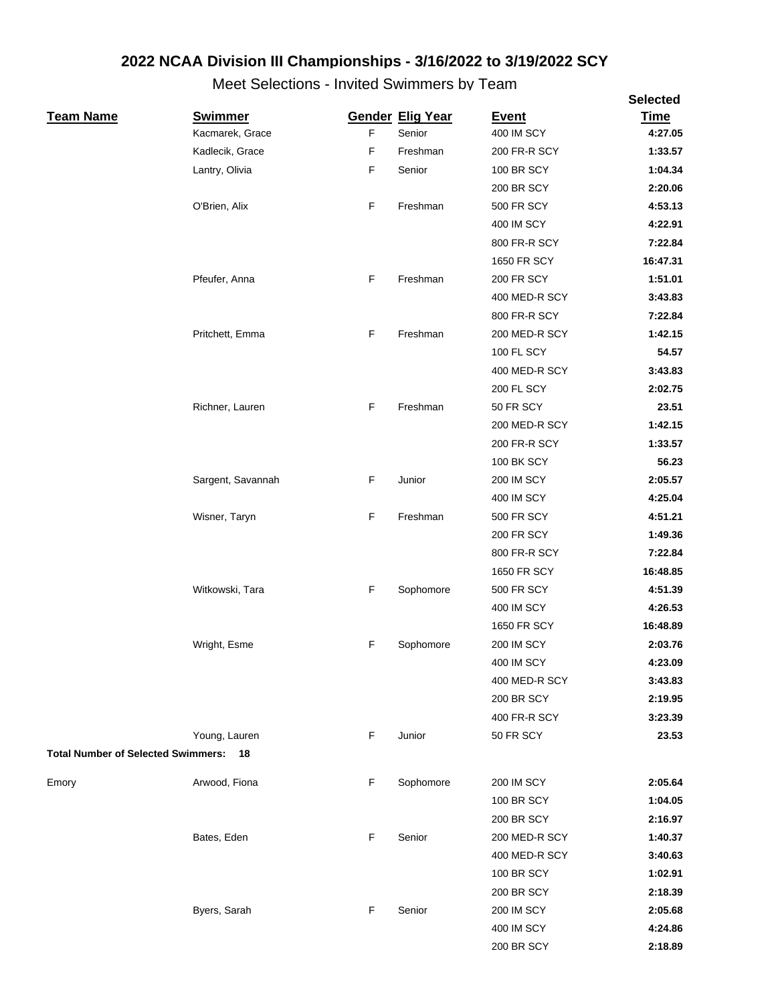|                                           |                   |             |                         |                   | <b>Selected</b> |
|-------------------------------------------|-------------------|-------------|-------------------------|-------------------|-----------------|
| <b>Team Name</b>                          | <b>Swimmer</b>    |             | <b>Gender Elig Year</b> | <b>Event</b>      | <b>Time</b>     |
|                                           | Kacmarek, Grace   | F           | Senior                  | 400 IM SCY        | 4:27.05         |
|                                           | Kadlecik, Grace   | $\mathsf F$ | Freshman                | 200 FR-R SCY      | 1:33.57         |
|                                           | Lantry, Olivia    | $\mathsf F$ | Senior                  | <b>100 BR SCY</b> | 1:04.34         |
|                                           |                   |             |                         | <b>200 BR SCY</b> | 2:20.06         |
|                                           | O'Brien, Alix     | F           | Freshman                | <b>500 FR SCY</b> | 4:53.13         |
|                                           |                   |             |                         | 400 IM SCY        | 4:22.91         |
|                                           |                   |             |                         | 800 FR-R SCY      | 7:22.84         |
|                                           |                   |             |                         | 1650 FR SCY       | 16:47.31        |
|                                           | Pfeufer, Anna     | F           | Freshman                | <b>200 FR SCY</b> | 1:51.01         |
|                                           |                   |             |                         | 400 MED-R SCY     | 3:43.83         |
|                                           |                   |             |                         | 800 FR-R SCY      | 7:22.84         |
|                                           | Pritchett, Emma   | F           | Freshman                | 200 MED-R SCY     | 1:42.15         |
|                                           |                   |             |                         | 100 FL SCY        | 54.57           |
|                                           |                   |             |                         | 400 MED-R SCY     | 3:43.83         |
|                                           |                   |             |                         | <b>200 FL SCY</b> | 2:02.75         |
|                                           | Richner, Lauren   | F           | Freshman                | 50 FR SCY         | 23.51           |
|                                           |                   |             |                         | 200 MED-R SCY     | 1:42.15         |
|                                           |                   |             |                         | 200 FR-R SCY      | 1:33.57         |
|                                           |                   |             |                         | <b>100 BK SCY</b> | 56.23           |
|                                           | Sargent, Savannah | F           | Junior                  | <b>200 IM SCY</b> | 2:05.57         |
|                                           |                   |             |                         | 400 IM SCY        | 4:25.04         |
|                                           | Wisner, Taryn     | F           | Freshman                | <b>500 FR SCY</b> | 4:51.21         |
|                                           |                   |             |                         | <b>200 FR SCY</b> | 1:49.36         |
|                                           |                   |             |                         | 800 FR-R SCY      | 7:22.84         |
|                                           |                   |             |                         | 1650 FR SCY       | 16:48.85        |
|                                           | Witkowski, Tara   | $\mathsf F$ | Sophomore               | <b>500 FR SCY</b> | 4:51.39         |
|                                           |                   |             |                         | 400 IM SCY        | 4:26.53         |
|                                           |                   |             |                         | 1650 FR SCY       | 16:48.89        |
|                                           | Wright, Esme      | F           | Sophomore               | <b>200 IM SCY</b> | 2:03.76         |
|                                           |                   |             |                         | 400 IM SCY        | 4:23.09         |
|                                           |                   |             |                         | 400 MED-R SCY     | 3:43.83         |
|                                           |                   |             |                         | <b>200 BR SCY</b> | 2:19.95         |
|                                           |                   |             |                         | 400 FR-R SCY      | 3:23.39         |
|                                           | Young, Lauren     | F           | Junior                  | 50 FR SCY         | 23.53           |
| <b>Total Number of Selected Swimmers:</b> | 18                |             |                         |                   |                 |
|                                           |                   |             |                         |                   |                 |
| Emory                                     | Arwood, Fiona     | F           | Sophomore               | <b>200 IM SCY</b> | 2:05.64         |
|                                           |                   |             |                         | <b>100 BR SCY</b> | 1:04.05         |
|                                           |                   |             |                         | 200 BR SCY        | 2:16.97         |
|                                           | Bates, Eden       | F           | Senior                  | 200 MED-R SCY     | 1:40.37         |
|                                           |                   |             |                         | 400 MED-R SCY     | 3:40.63         |
|                                           |                   |             |                         | <b>100 BR SCY</b> | 1:02.91         |
|                                           |                   |             |                         | 200 BR SCY        | 2:18.39         |
|                                           | Byers, Sarah      | F           | Senior                  | <b>200 IM SCY</b> | 2:05.68         |
|                                           |                   |             |                         | 400 IM SCY        | 4:24.86         |
|                                           |                   |             |                         | 200 BR SCY        | 2:18.89         |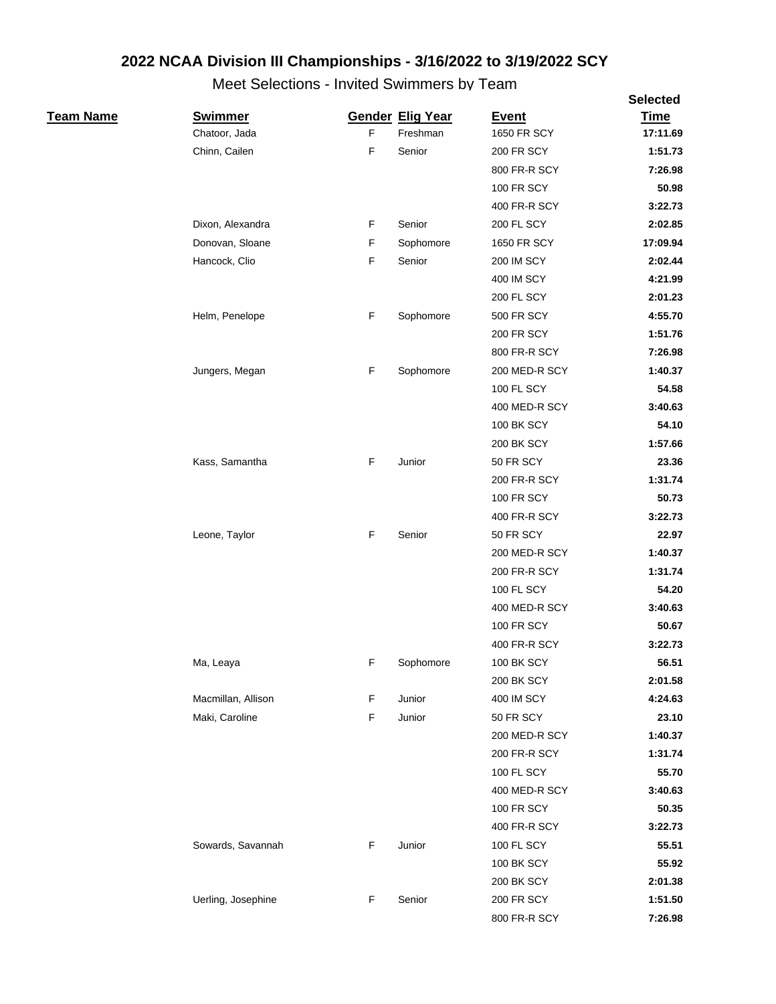|                  |                    |             |                         |                   | <b>Selected</b>  |
|------------------|--------------------|-------------|-------------------------|-------------------|------------------|
| <u>Team Name</u> | <b>Swimmer</b>     |             | <b>Gender Elig Year</b> | <b>Event</b>      | <b>Time</b>      |
|                  | Chatoor, Jada      | F           | Freshman                | 1650 FR SCY       | 17:11.69         |
|                  | Chinn, Cailen      | F           | Senior                  | <b>200 FR SCY</b> | 1:51.73          |
|                  |                    |             |                         | 800 FR-R SCY      | 7:26.98          |
|                  |                    |             |                         | <b>100 FR SCY</b> | 50.98            |
|                  |                    |             |                         | 400 FR-R SCY      | 3:22.73          |
|                  | Dixon, Alexandra   | F           | Senior                  | 200 FL SCY        | 2:02.85          |
|                  | Donovan, Sloane    | F           | Sophomore               | 1650 FR SCY       | 17:09.94         |
|                  | Hancock, Clio      | F           | Senior                  | <b>200 IM SCY</b> | 2:02.44          |
|                  |                    |             |                         | 400 IM SCY        | 4:21.99          |
|                  |                    |             |                         | 200 FL SCY        | 2:01.23          |
|                  | Helm, Penelope     | F           | Sophomore               | 500 FR SCY        | 4:55.70          |
|                  |                    |             |                         | 200 FR SCY        | 1:51.76          |
|                  |                    |             |                         | 800 FR-R SCY      | 7:26.98          |
|                  | Jungers, Megan     | $\mathsf F$ | Sophomore               | 200 MED-R SCY     | 1:40.37          |
|                  |                    |             |                         | 100 FL SCY        | 54.58            |
|                  |                    |             |                         | 400 MED-R SCY     | 3:40.63          |
|                  |                    |             |                         | <b>100 BK SCY</b> | 54.10            |
|                  |                    |             |                         | 200 BK SCY        | 1:57.66          |
|                  | Kass, Samantha     | F           | Junior                  | 50 FR SCY         | 23.36            |
|                  |                    |             |                         | 200 FR-R SCY      | 1:31.74          |
|                  |                    |             |                         | <b>100 FR SCY</b> | 50.73            |
|                  |                    |             |                         | 400 FR-R SCY      | 3:22.73          |
|                  | Leone, Taylor      | F           | Senior                  | 50 FR SCY         | 22.97            |
|                  |                    |             |                         | 200 MED-R SCY     | 1:40.37          |
|                  |                    |             |                         | 200 FR-R SCY      | 1:31.74          |
|                  |                    |             |                         | 100 FL SCY        | 54.20            |
|                  |                    |             |                         | 400 MED-R SCY     | 3:40.63          |
|                  |                    |             |                         | <b>100 FR SCY</b> | 50.67            |
|                  |                    |             |                         | 400 FR-R SCY      | 3:22.73          |
|                  | Ma, Leaya          | F           | Sophomore               | 100 BK SCY        | 56.51            |
|                  |                    |             |                         | 200 BK SCY        | 2:01.58          |
|                  | Macmillan, Allison | F           | Junior                  | 400 IM SCY        | 4:24.63          |
|                  | Maki, Caroline     | F           | Junior                  | 50 FR SCY         | 23.10            |
|                  |                    |             |                         | 200 MED-R SCY     | 1:40.37          |
|                  |                    |             |                         | 200 FR-R SCY      | 1:31.74          |
|                  |                    |             |                         | 100 FL SCY        | 55.70            |
|                  |                    |             |                         | 400 MED-R SCY     | 3:40.63          |
|                  |                    |             |                         | <b>100 FR SCY</b> | 50.35            |
|                  |                    |             |                         |                   |                  |
|                  |                    | F           | Junior                  | 400 FR-R SCY      | 3:22.73<br>55.51 |
|                  | Sowards, Savannah  |             |                         | 100 FL SCY        |                  |
|                  |                    |             |                         | <b>100 BK SCY</b> | 55.92            |
|                  |                    |             |                         | 200 BK SCY        | 2:01.38          |
|                  | Uerling, Josephine | F           | Senior                  | 200 FR SCY        | 1:51.50          |
|                  |                    |             |                         | 800 FR-R SCY      | 7:26.98          |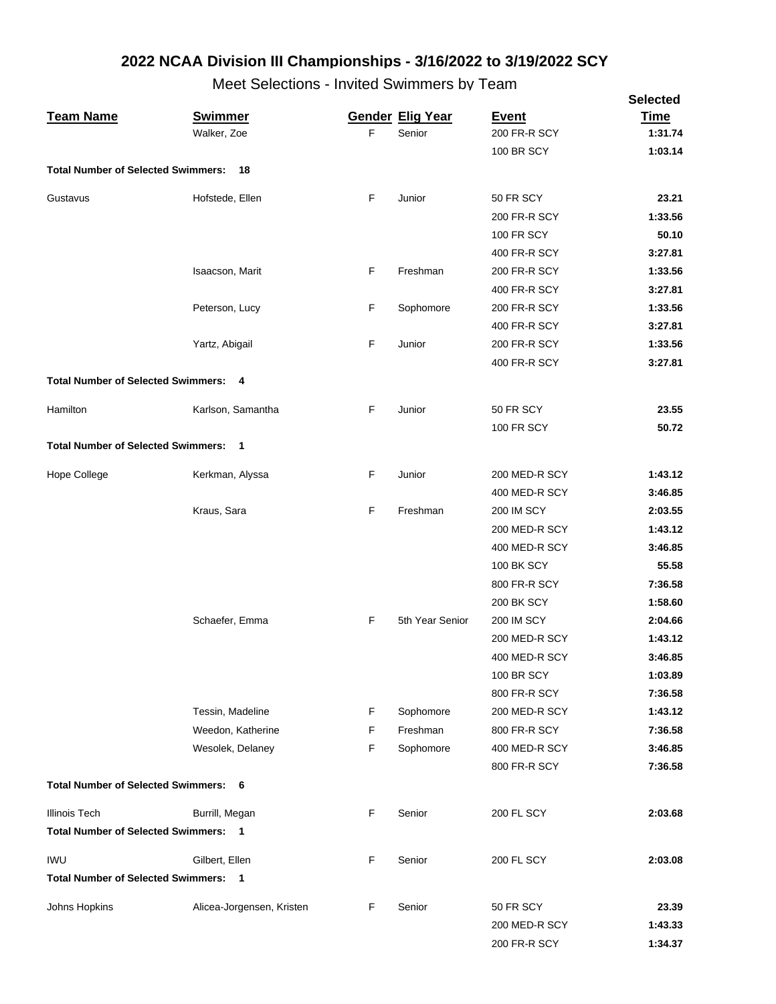|                                             |                           |   |                         |                   | <b>Selected</b> |
|---------------------------------------------|---------------------------|---|-------------------------|-------------------|-----------------|
| <b>Team Name</b>                            | <b>Swimmer</b>            |   | <b>Gender Elig Year</b> | <b>Event</b>      | <b>Time</b>     |
|                                             | Walker, Zoe               | F | Senior                  | 200 FR-R SCY      | 1:31.74         |
|                                             |                           |   |                         | <b>100 BR SCY</b> | 1:03.14         |
| <b>Total Number of Selected Swimmers:</b>   | 18                        |   |                         |                   |                 |
| Gustavus                                    | Hofstede, Ellen           | F | Junior                  | 50 FR SCY         | 23.21           |
|                                             |                           |   |                         | 200 FR-R SCY      | 1:33.56         |
|                                             |                           |   |                         | <b>100 FR SCY</b> | 50.10           |
|                                             |                           |   |                         | 400 FR-R SCY      | 3:27.81         |
|                                             | Isaacson, Marit           | F | Freshman                | 200 FR-R SCY      | 1:33.56         |
|                                             |                           |   |                         | 400 FR-R SCY      | 3:27.81         |
|                                             | Peterson, Lucy            | F | Sophomore               | 200 FR-R SCY      | 1:33.56         |
|                                             |                           |   |                         | 400 FR-R SCY      | 3:27.81         |
|                                             | Yartz, Abigail            | F | Junior                  | 200 FR-R SCY      | 1:33.56         |
|                                             |                           |   |                         | 400 FR-R SCY      | 3:27.81         |
| <b>Total Number of Selected Swimmers: 4</b> |                           |   |                         |                   |                 |
| Hamilton                                    | Karlson, Samantha         | F | Junior                  | 50 FR SCY         | 23.55           |
|                                             |                           |   |                         | <b>100 FR SCY</b> | 50.72           |
| <b>Total Number of Selected Swimmers: 1</b> |                           |   |                         |                   |                 |
| Hope College                                | Kerkman, Alyssa           | F | Junior                  | 200 MED-R SCY     | 1:43.12         |
|                                             |                           |   |                         | 400 MED-R SCY     | 3:46.85         |
|                                             | Kraus, Sara               | F | Freshman                | <b>200 IM SCY</b> | 2:03.55         |
|                                             |                           |   |                         | 200 MED-R SCY     | 1:43.12         |
|                                             |                           |   |                         | 400 MED-R SCY     | 3:46.85         |
|                                             |                           |   |                         | <b>100 BK SCY</b> | 55.58           |
|                                             |                           |   |                         | 800 FR-R SCY      | 7:36.58         |
|                                             |                           |   |                         | <b>200 BK SCY</b> | 1:58.60         |
|                                             | Schaefer, Emma            | F | 5th Year Senior         | <b>200 IM SCY</b> | 2:04.66         |
|                                             |                           |   |                         | 200 MED-R SCY     | 1:43.12         |
|                                             |                           |   |                         | 400 MED-R SCY     | 3:46.85         |
|                                             |                           |   |                         | <b>100 BR SCY</b> | 1:03.89         |
|                                             |                           |   |                         | 800 FR-R SCY      | 7:36.58         |
|                                             | Tessin, Madeline          | F | Sophomore               | 200 MED-R SCY     | 1:43.12         |
|                                             | Weedon, Katherine         | F | Freshman                | 800 FR-R SCY      | 7:36.58         |
|                                             | Wesolek, Delaney          | F | Sophomore               | 400 MED-R SCY     | 3:46.85         |
|                                             |                           |   |                         | 800 FR-R SCY      | 7:36.58         |
| <b>Total Number of Selected Swimmers: 6</b> |                           |   |                         |                   |                 |
| <b>Illinois Tech</b>                        | Burrill, Megan            | F | Senior                  | <b>200 FL SCY</b> | 2:03.68         |
| <b>Total Number of Selected Swimmers:</b>   | $\blacksquare$            |   |                         |                   |                 |
|                                             |                           |   |                         |                   |                 |
| <b>IWU</b>                                  | Gilbert, Ellen            | F | Senior                  | 200 FL SCY        | 2:03.08         |
| <b>Total Number of Selected Swimmers:</b>   | $\overline{\phantom{0}}$  |   |                         |                   |                 |
| Johns Hopkins                               | Alicea-Jorgensen, Kristen | F | Senior                  | 50 FR SCY         | 23.39           |
|                                             |                           |   |                         | 200 MED-R SCY     | 1:43.33         |
|                                             |                           |   |                         | 200 FR-R SCY      | 1:34.37         |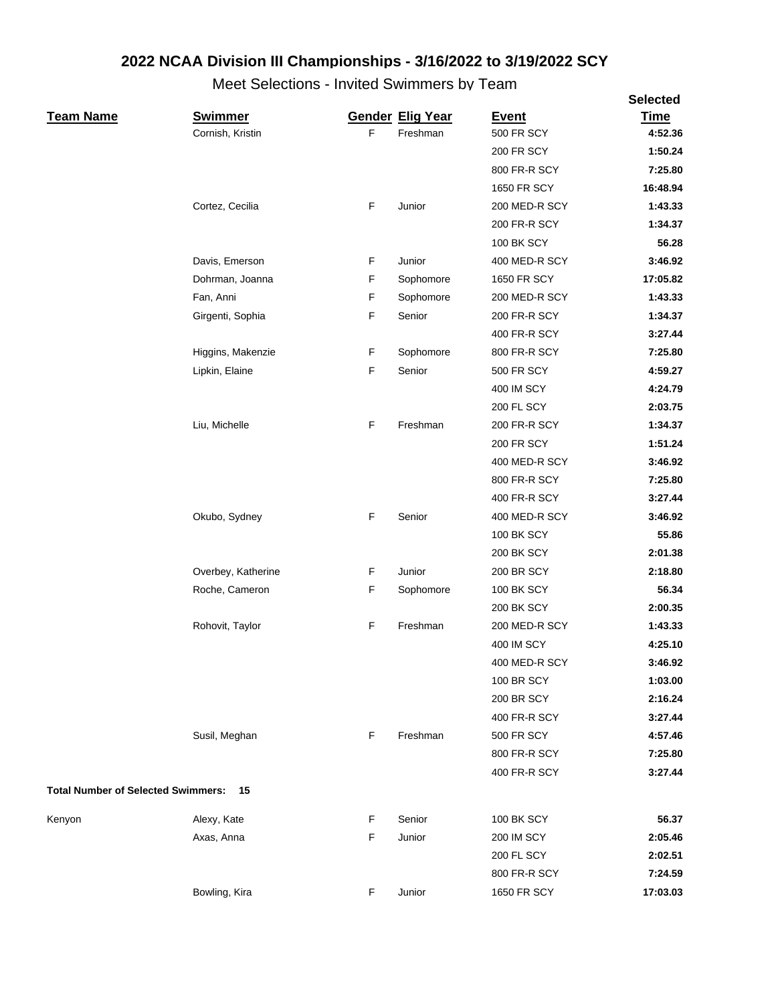|                                           |                    |    |                         |                   | <b>Selected</b> |
|-------------------------------------------|--------------------|----|-------------------------|-------------------|-----------------|
| <b>Team Name</b>                          | <b>Swimmer</b>     |    | <b>Gender Elig Year</b> | <b>Event</b>      | <b>Time</b>     |
|                                           | Cornish, Kristin   | F. | Freshman                | <b>500 FR SCY</b> | 4:52.36         |
|                                           |                    |    |                         | <b>200 FR SCY</b> | 1:50.24         |
|                                           |                    |    |                         | 800 FR-R SCY      | 7:25.80         |
|                                           |                    |    |                         | 1650 FR SCY       | 16:48.94        |
|                                           | Cortez, Cecilia    | F  | Junior                  | 200 MED-R SCY     | 1:43.33         |
|                                           |                    |    |                         | 200 FR-R SCY      | 1:34.37         |
|                                           |                    |    |                         | <b>100 BK SCY</b> | 56.28           |
|                                           | Davis, Emerson     | F  | Junior                  | 400 MED-R SCY     | 3:46.92         |
|                                           | Dohrman, Joanna    | F  | Sophomore               | 1650 FR SCY       | 17:05.82        |
|                                           | Fan, Anni          | F  | Sophomore               | 200 MED-R SCY     | 1:43.33         |
|                                           | Girgenti, Sophia   | F  | Senior                  | 200 FR-R SCY      | 1:34.37         |
|                                           |                    |    |                         | 400 FR-R SCY      | 3:27.44         |
|                                           | Higgins, Makenzie  | F  | Sophomore               | 800 FR-R SCY      | 7:25.80         |
|                                           | Lipkin, Elaine     | F  | Senior                  | <b>500 FR SCY</b> | 4:59.27         |
|                                           |                    |    |                         | 400 IM SCY        | 4:24.79         |
|                                           |                    |    |                         | <b>200 FL SCY</b> | 2:03.75         |
|                                           | Liu, Michelle      | F  | Freshman                | 200 FR-R SCY      | 1:34.37         |
|                                           |                    |    |                         | <b>200 FR SCY</b> | 1:51.24         |
|                                           |                    |    |                         | 400 MED-R SCY     | 3:46.92         |
|                                           |                    |    |                         | 800 FR-R SCY      | 7:25.80         |
|                                           |                    |    |                         | 400 FR-R SCY      | 3:27.44         |
|                                           | Okubo, Sydney      | F  | Senior                  | 400 MED-R SCY     | 3:46.92         |
|                                           |                    |    |                         | <b>100 BK SCY</b> | 55.86           |
|                                           |                    |    |                         | <b>200 BK SCY</b> | 2:01.38         |
|                                           | Overbey, Katherine | F  | Junior                  | <b>200 BR SCY</b> | 2:18.80         |
|                                           | Roche, Cameron     | F  | Sophomore               | <b>100 BK SCY</b> | 56.34           |
|                                           |                    |    |                         | <b>200 BK SCY</b> | 2:00.35         |
|                                           | Rohovit, Taylor    | F  | Freshman                | 200 MED-R SCY     | 1:43.33         |
|                                           |                    |    |                         | <b>400 IM SCY</b> | 4:25.10         |
|                                           |                    |    |                         | 400 MED-R SCY     | 3:46.92         |
|                                           |                    |    |                         | <b>100 BR SCY</b> | 1:03.00         |
|                                           |                    |    |                         | <b>200 BR SCY</b> | 2:16.24         |
|                                           |                    |    |                         | 400 FR-R SCY      | 3:27.44         |
|                                           | Susil, Meghan      | F  | Freshman                | <b>500 FR SCY</b> | 4:57.46         |
|                                           |                    |    |                         | 800 FR-R SCY      | 7:25.80         |
|                                           |                    |    |                         | 400 FR-R SCY      | 3:27.44         |
| <b>Total Number of Selected Swimmers:</b> | 15                 |    |                         |                   |                 |
| Kenyon                                    | Alexy, Kate        | F  | Senior                  | <b>100 BK SCY</b> | 56.37           |
|                                           | Axas, Anna         | F  | Junior                  | <b>200 IM SCY</b> | 2:05.46         |
|                                           |                    |    |                         | 200 FL SCY        | 2:02.51         |
|                                           |                    |    |                         | 800 FR-R SCY      | 7:24.59         |
|                                           | Bowling, Kira      | F  | Junior                  | 1650 FR SCY       | 17:03.03        |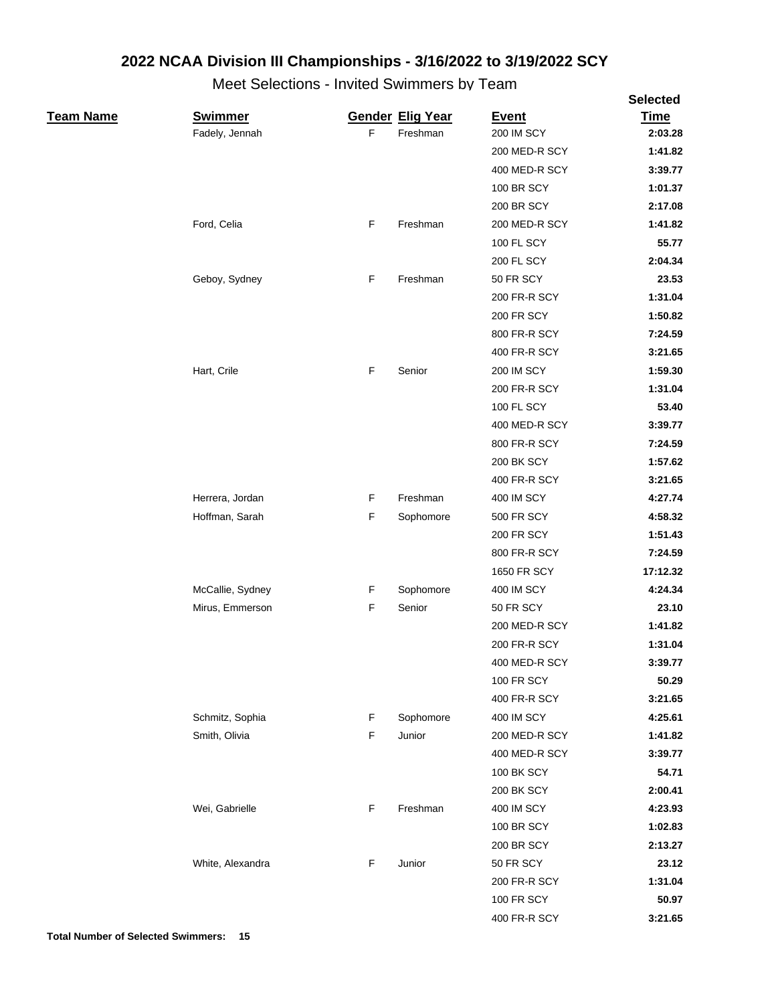|                  |                  |   |                         |                   | <b>Selected</b> |
|------------------|------------------|---|-------------------------|-------------------|-----------------|
| <u>Team Name</u> | <b>Swimmer</b>   |   | <b>Gender Elig Year</b> | <b>Event</b>      | <b>Time</b>     |
|                  | Fadely, Jennah   | F | Freshman                | <b>200 IM SCY</b> | 2:03.28         |
|                  |                  |   |                         | 200 MED-R SCY     | 1:41.82         |
|                  |                  |   |                         | 400 MED-R SCY     | 3:39.77         |
|                  |                  |   |                         | <b>100 BR SCY</b> | 1:01.37         |
|                  |                  |   |                         | 200 BR SCY        | 2:17.08         |
|                  | Ford, Celia      | F | Freshman                | 200 MED-R SCY     | 1:41.82         |
|                  |                  |   |                         | 100 FL SCY        | 55.77           |
|                  |                  |   |                         | 200 FL SCY        | 2:04.34         |
|                  | Geboy, Sydney    | F | Freshman                | 50 FR SCY         | 23.53           |
|                  |                  |   |                         | 200 FR-R SCY      | 1:31.04         |
|                  |                  |   |                         | <b>200 FR SCY</b> | 1:50.82         |
|                  |                  |   |                         | 800 FR-R SCY      | 7:24.59         |
|                  |                  |   |                         | 400 FR-R SCY      | 3:21.65         |
|                  | Hart, Crile      | F | Senior                  | <b>200 IM SCY</b> | 1:59.30         |
|                  |                  |   |                         | 200 FR-R SCY      | 1:31.04         |
|                  |                  |   |                         | 100 FL SCY        | 53.40           |
|                  |                  |   |                         | 400 MED-R SCY     | 3:39.77         |
|                  |                  |   |                         | 800 FR-R SCY      | 7:24.59         |
|                  |                  |   |                         | 200 BK SCY        | 1:57.62         |
|                  |                  |   |                         | 400 FR-R SCY      | 3:21.65         |
|                  | Herrera, Jordan  | F | Freshman                | 400 IM SCY        | 4:27.74         |
|                  | Hoffman, Sarah   | F | Sophomore               | 500 FR SCY        | 4:58.32         |
|                  |                  |   |                         | 200 FR SCY        | 1:51.43         |
|                  |                  |   |                         | 800 FR-R SCY      | 7:24.59         |
|                  |                  |   |                         | 1650 FR SCY       | 17:12.32        |
|                  | McCallie, Sydney | F | Sophomore               | 400 IM SCY        | 4:24.34         |
|                  | Mirus, Emmerson  | F | Senior                  | 50 FR SCY         | 23.10           |
|                  |                  |   |                         | 200 MED-R SCY     | 1:41.82         |
|                  |                  |   |                         | 200 FR-R SCY      | 1:31.04         |
|                  |                  |   |                         | 400 MED-R SCY     | 3:39.77         |
|                  |                  |   |                         | <b>100 FR SCY</b> | 50.29           |
|                  |                  |   |                         | 400 FR-R SCY      | 3:21.65         |
|                  | Schmitz, Sophia  | F | Sophomore               | 400 IM SCY        | 4:25.61         |
|                  | Smith, Olivia    | F | Junior                  | 200 MED-R SCY     | 1:41.82         |
|                  |                  |   |                         | 400 MED-R SCY     | 3:39.77         |
|                  |                  |   |                         | <b>100 BK SCY</b> | 54.71           |
|                  |                  |   |                         | 200 BK SCY        | 2:00.41         |
|                  | Wei, Gabrielle   | F | Freshman                | 400 IM SCY        | 4:23.93         |
|                  |                  |   |                         | 100 BR SCY        | 1:02.83         |
|                  |                  |   |                         | 200 BR SCY        | 2:13.27         |
|                  | White, Alexandra | F | Junior                  | 50 FR SCY         | 23.12           |
|                  |                  |   |                         | 200 FR-R SCY      | 1:31.04         |
|                  |                  |   |                         | <b>100 FR SCY</b> | 50.97           |
|                  |                  |   |                         | 400 FR-R SCY      | 3:21.65         |
|                  |                  |   |                         |                   |                 |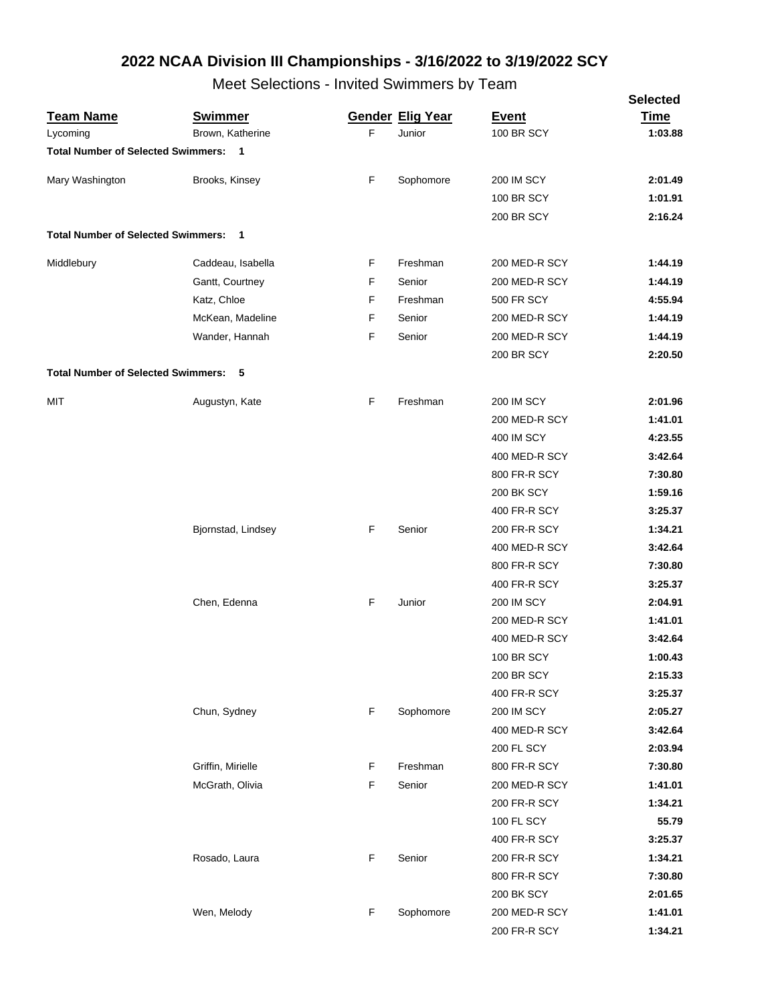|                                      |                                    |   |                                   |                                   | <b>Selected</b>        |
|--------------------------------------|------------------------------------|---|-----------------------------------|-----------------------------------|------------------------|
| <u>Team Name</u><br>Lycoming         | <b>Swimmer</b><br>Brown, Katherine | F | <b>Gender Elig Year</b><br>Junior | <b>Event</b><br><b>100 BR SCY</b> | <b>Time</b><br>1:03.88 |
| Total Number of Selected Swimmers: 1 |                                    |   |                                   |                                   |                        |
|                                      |                                    |   |                                   |                                   |                        |
| Mary Washington                      | Brooks, Kinsey                     | F | Sophomore                         | <b>200 IM SCY</b>                 | 2:01.49                |
|                                      |                                    |   |                                   | <b>100 BR SCY</b>                 | 1:01.91                |
|                                      |                                    |   |                                   | <b>200 BR SCY</b>                 | 2:16.24                |
| Total Number of Selected Swimmers: 1 |                                    |   |                                   |                                   |                        |
| Middlebury                           | Caddeau, Isabella                  | F | Freshman                          | 200 MED-R SCY                     | 1:44.19                |
|                                      | Gantt, Courtney                    | F | Senior                            | 200 MED-R SCY                     | 1:44.19                |
|                                      | Katz, Chloe                        | F | Freshman                          | <b>500 FR SCY</b>                 | 4:55.94                |
|                                      | McKean, Madeline                   | F | Senior                            | 200 MED-R SCY                     | 1:44.19                |
|                                      | Wander, Hannah                     | F | Senior                            | 200 MED-R SCY                     | 1:44.19                |
|                                      |                                    |   |                                   | <b>200 BR SCY</b>                 | 2:20.50                |
| Total Number of Selected Swimmers: 5 |                                    |   |                                   |                                   |                        |
| MIT                                  |                                    | F |                                   |                                   |                        |
|                                      | Augustyn, Kate                     |   | Freshman                          | <b>200 IM SCY</b>                 | 2:01.96                |
|                                      |                                    |   |                                   | 200 MED-R SCY                     | 1:41.01<br>4:23.55     |
|                                      |                                    |   |                                   | 400 IM SCY<br>400 MED-R SCY       | 3:42.64                |
|                                      |                                    |   |                                   | 800 FR-R SCY                      | 7:30.80                |
|                                      |                                    |   |                                   | <b>200 BK SCY</b>                 | 1:59.16                |
|                                      |                                    |   |                                   | 400 FR-R SCY                      | 3:25.37                |
|                                      | Bjornstad, Lindsey                 | F | Senior                            | 200 FR-R SCY                      | 1:34.21                |
|                                      |                                    |   |                                   | 400 MED-R SCY                     | 3:42.64                |
|                                      |                                    |   |                                   | 800 FR-R SCY                      | 7:30.80                |
|                                      |                                    |   |                                   | 400 FR-R SCY                      | 3:25.37                |
|                                      | Chen, Edenna                       | F | Junior                            | <b>200 IM SCY</b>                 | 2:04.91                |
|                                      |                                    |   |                                   | 200 MED-R SCY                     | 1:41.01                |
|                                      |                                    |   |                                   | 400 MED-R SCY                     | 3:42.64                |
|                                      |                                    |   |                                   | 100 BR SCY                        | 1:00.43                |
|                                      |                                    |   |                                   | 200 BR SCY                        | 2:15.33                |
|                                      |                                    |   |                                   | 400 FR-R SCY                      | 3:25.37                |
|                                      | Chun, Sydney                       | F | Sophomore                         | <b>200 IM SCY</b>                 | 2:05.27                |
|                                      |                                    |   |                                   | 400 MED-R SCY                     | 3:42.64                |
|                                      |                                    |   |                                   | 200 FL SCY                        | 2:03.94                |
|                                      | Griffin, Mirielle                  | F | Freshman                          | 800 FR-R SCY                      | 7:30.80                |
|                                      | McGrath, Olivia                    | F | Senior                            | 200 MED-R SCY                     | 1:41.01                |
|                                      |                                    |   |                                   | 200 FR-R SCY                      | 1:34.21                |
|                                      |                                    |   |                                   | 100 FL SCY                        | 55.79                  |
|                                      |                                    |   |                                   | 400 FR-R SCY                      | 3:25.37                |
|                                      | Rosado, Laura                      | F | Senior                            | 200 FR-R SCY                      | 1:34.21                |
|                                      |                                    |   |                                   | 800 FR-R SCY                      | 7:30.80                |
|                                      |                                    |   |                                   | 200 BK SCY                        | 2:01.65                |
|                                      | Wen, Melody                        | F | Sophomore                         | 200 MED-R SCY                     | 1:41.01                |
|                                      |                                    |   |                                   | 200 FR-R SCY                      | 1:34.21                |
|                                      |                                    |   |                                   |                                   |                        |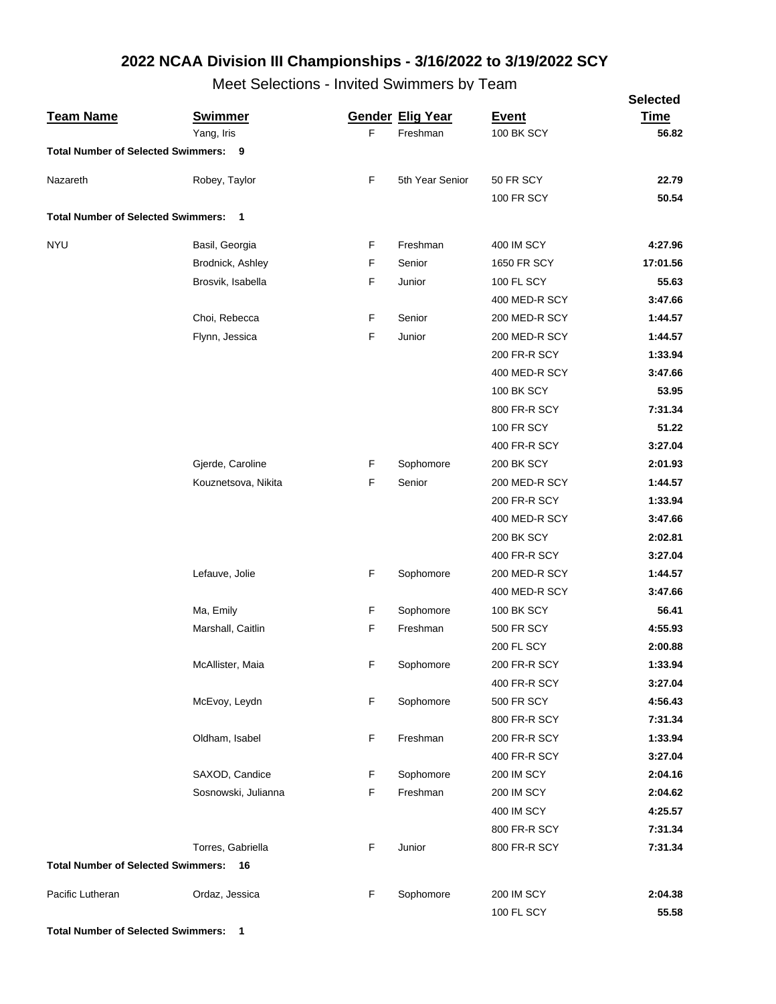Meet Selections - Invited Swimmers by Team

|                                             |                     |    |                         |                   | <b>Selected</b> |
|---------------------------------------------|---------------------|----|-------------------------|-------------------|-----------------|
| <b>Team Name</b>                            | <b>Swimmer</b>      |    | <b>Gender Elig Year</b> | <b>Event</b>      | <b>Time</b>     |
|                                             | Yang, Iris          | F. | Freshman                | 100 BK SCY        | 56.82           |
| <b>Total Number of Selected Swimmers: 9</b> |                     |    |                         |                   |                 |
| Nazareth                                    | Robey, Taylor       | F  | 5th Year Senior         | 50 FR SCY         | 22.79           |
|                                             |                     |    |                         | <b>100 FR SCY</b> | 50.54           |
| <b>Total Number of Selected Swimmers:</b>   | $\overline{1}$      |    |                         |                   |                 |
| <b>NYU</b>                                  | Basil, Georgia      | F  | Freshman                | 400 IM SCY        | 4:27.96         |
|                                             | Brodnick, Ashley    | F  | Senior                  | 1650 FR SCY       | 17:01.56        |
|                                             | Brosvik, Isabella   | F  | Junior                  | 100 FL SCY        | 55.63           |
|                                             |                     |    |                         | 400 MED-R SCY     | 3:47.66         |
|                                             | Choi, Rebecca       | F  | Senior                  | 200 MED-R SCY     | 1:44.57         |
|                                             | Flynn, Jessica      | F  | Junior                  | 200 MED-R SCY     | 1:44.57         |
|                                             |                     |    |                         | 200 FR-R SCY      | 1:33.94         |
|                                             |                     |    |                         | 400 MED-R SCY     | 3:47.66         |
|                                             |                     |    |                         | <b>100 BK SCY</b> | 53.95           |
|                                             |                     |    |                         | 800 FR-R SCY      | 7:31.34         |
|                                             |                     |    |                         | <b>100 FR SCY</b> | 51.22           |
|                                             |                     |    |                         | 400 FR-R SCY      | 3:27.04         |
|                                             | Gjerde, Caroline    | F  | Sophomore               | <b>200 BK SCY</b> | 2:01.93         |
|                                             | Kouznetsova, Nikita | F  | Senior                  | 200 MED-R SCY     | 1:44.57         |
|                                             |                     |    |                         | 200 FR-R SCY      | 1:33.94         |
|                                             |                     |    |                         | 400 MED-R SCY     | 3:47.66         |
|                                             |                     |    |                         | <b>200 BK SCY</b> | 2:02.81         |
|                                             |                     |    |                         | 400 FR-R SCY      | 3:27.04         |
|                                             | Lefauve, Jolie      | F  | Sophomore               | 200 MED-R SCY     | 1:44.57         |
|                                             |                     |    |                         | 400 MED-R SCY     | 3:47.66         |
|                                             | Ma, Emily           | F  | Sophomore               | <b>100 BK SCY</b> | 56.41           |
|                                             | Marshall, Caitlin   | F  | Freshman                | <b>500 FR SCY</b> | 4:55.93         |
|                                             |                     |    |                         | <b>200 FL SCY</b> | 2:00.88         |
|                                             | McAllister, Maia    | F  | Sophomore               | 200 FR-R SCY      | 1:33.94         |
|                                             |                     |    |                         | 400 FR-R SCY      | 3:27.04         |
|                                             | McEvoy, Leydn       | F  | Sophomore               | 500 FR SCY        | 4:56.43         |
|                                             |                     |    |                         | 800 FR-R SCY      | 7:31.34         |
|                                             | Oldham, Isabel      | F  | Freshman                | 200 FR-R SCY      | 1:33.94         |
|                                             |                     |    |                         | 400 FR-R SCY      | 3:27.04         |
|                                             | SAXOD, Candice      | F  | Sophomore               | <b>200 IM SCY</b> | 2:04.16         |
|                                             | Sosnowski, Julianna | F  | Freshman                | <b>200 IM SCY</b> | 2:04.62         |
|                                             |                     |    |                         | 400 IM SCY        | 4:25.57         |
|                                             |                     |    |                         | 800 FR-R SCY      | 7:31.34         |
|                                             | Torres, Gabriella   | F  | Junior                  | 800 FR-R SCY      | 7:31.34         |
| <b>Total Number of Selected Swimmers:</b>   | 16                  |    |                         |                   |                 |
|                                             |                     |    |                         |                   |                 |
| Pacific Lutheran                            | Ordaz, Jessica      | F  | Sophomore               | <b>200 IM SCY</b> | 2:04.38         |
|                                             |                     |    |                         | 100 FL SCY        | 55.58           |

**Total Number of Selected Swimmers: 1**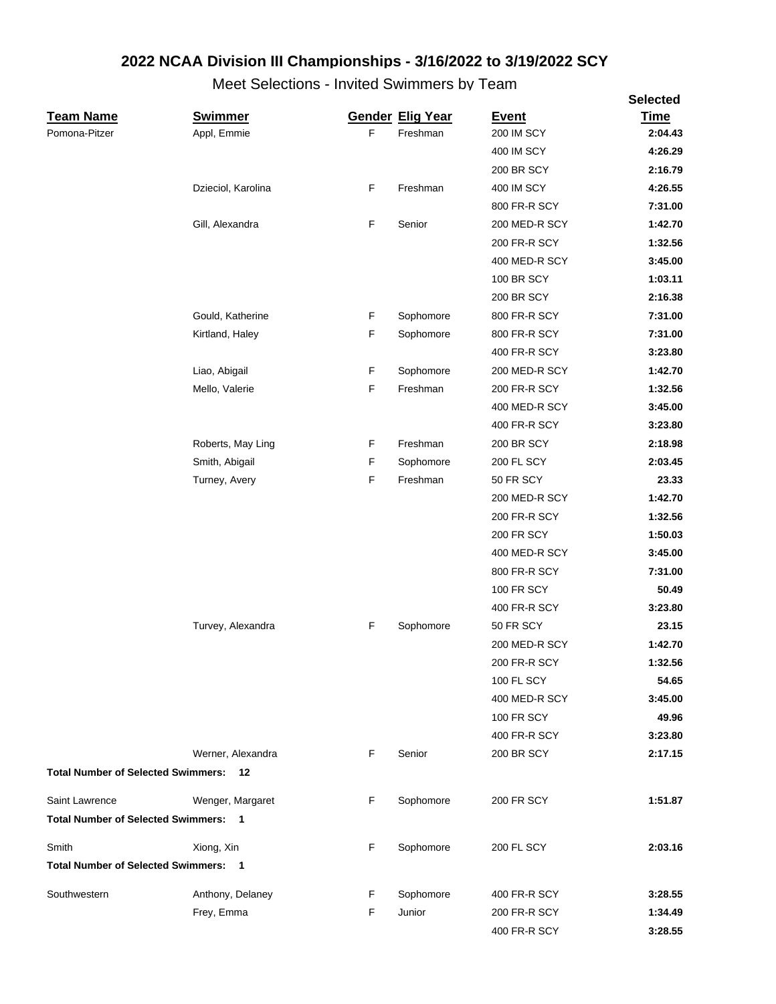|                                             |                    |             |                         |                   | <b>Selected</b> |
|---------------------------------------------|--------------------|-------------|-------------------------|-------------------|-----------------|
| <b>Team Name</b>                            | <b>Swimmer</b>     |             | <b>Gender Elig Year</b> | <b>Event</b>      | <b>Time</b>     |
| Pomona-Pitzer                               | Appl, Emmie        | F           | Freshman                | 200 IM SCY        | 2:04.43         |
|                                             |                    |             |                         | 400 IM SCY        | 4:26.29         |
|                                             |                    |             |                         | <b>200 BR SCY</b> | 2:16.79         |
|                                             | Dzieciol, Karolina | F           | Freshman                | 400 IM SCY        | 4:26.55         |
|                                             |                    |             |                         | 800 FR-R SCY      | 7:31.00         |
|                                             | Gill, Alexandra    | $\mathsf F$ | Senior                  | 200 MED-R SCY     | 1:42.70         |
|                                             |                    |             |                         | 200 FR-R SCY      | 1:32.56         |
|                                             |                    |             |                         | 400 MED-R SCY     | 3:45.00         |
|                                             |                    |             |                         | <b>100 BR SCY</b> | 1:03.11         |
|                                             |                    |             |                         | <b>200 BR SCY</b> | 2:16.38         |
|                                             | Gould, Katherine   | F           | Sophomore               | 800 FR-R SCY      | 7:31.00         |
|                                             | Kirtland, Haley    | $\mathsf F$ | Sophomore               | 800 FR-R SCY      | 7:31.00         |
|                                             |                    |             |                         | 400 FR-R SCY      | 3:23.80         |
|                                             | Liao, Abigail      | F           | Sophomore               | 200 MED-R SCY     | 1:42.70         |
|                                             | Mello, Valerie     | $\mathsf F$ | Freshman                | 200 FR-R SCY      | 1:32.56         |
|                                             |                    |             |                         | 400 MED-R SCY     | 3:45.00         |
|                                             |                    |             |                         | 400 FR-R SCY      | 3:23.80         |
|                                             | Roberts, May Ling  | F           | Freshman                | 200 BR SCY        | 2:18.98         |
|                                             | Smith, Abigail     | F           | Sophomore               | <b>200 FL SCY</b> | 2:03.45         |
|                                             | Turney, Avery      | F           | Freshman                | 50 FR SCY         | 23.33           |
|                                             |                    |             |                         | 200 MED-R SCY     | 1:42.70         |
|                                             |                    |             |                         | 200 FR-R SCY      | 1:32.56         |
|                                             |                    |             |                         | <b>200 FR SCY</b> | 1:50.03         |
|                                             |                    |             |                         | 400 MED-R SCY     | 3:45.00         |
|                                             |                    |             |                         | 800 FR-R SCY      | 7:31.00         |
|                                             |                    |             |                         | <b>100 FR SCY</b> | 50.49           |
|                                             |                    |             |                         | 400 FR-R SCY      | 3:23.80         |
|                                             | Turvey, Alexandra  | F           | Sophomore               | 50 FR SCY         | 23.15           |
|                                             |                    |             |                         | 200 MED-R SCY     | 1:42.70         |
|                                             |                    |             |                         | 200 FR-R SCY      | 1:32.56         |
|                                             |                    |             |                         | <b>100 FL SCY</b> | 54.65           |
|                                             |                    |             |                         | 400 MED-R SCY     | 3:45.00         |
|                                             |                    |             |                         | <b>100 FR SCY</b> | 49.96           |
|                                             |                    |             |                         | 400 FR-R SCY      | 3:23.80         |
|                                             | Werner, Alexandra  | F           | Senior                  | <b>200 BR SCY</b> | 2:17.15         |
| <b>Total Number of Selected Swimmers:</b>   | 12                 |             |                         |                   |                 |
| Saint Lawrence                              | Wenger, Margaret   | F           | Sophomore               | <b>200 FR SCY</b> | 1:51.87         |
| <b>Total Number of Selected Swimmers: 1</b> |                    |             |                         |                   |                 |
| Smith                                       | Xiong, Xin         | F           | Sophomore               | 200 FL SCY        | 2:03.16         |
| <b>Total Number of Selected Swimmers: 1</b> |                    |             |                         |                   |                 |
| Southwestern                                | Anthony, Delaney   | F           | Sophomore               | 400 FR-R SCY      | 3:28.55         |
|                                             | Frey, Emma         | F           | Junior                  | 200 FR-R SCY      | 1:34.49         |
|                                             |                    |             |                         | 400 FR-R SCY      | 3:28.55         |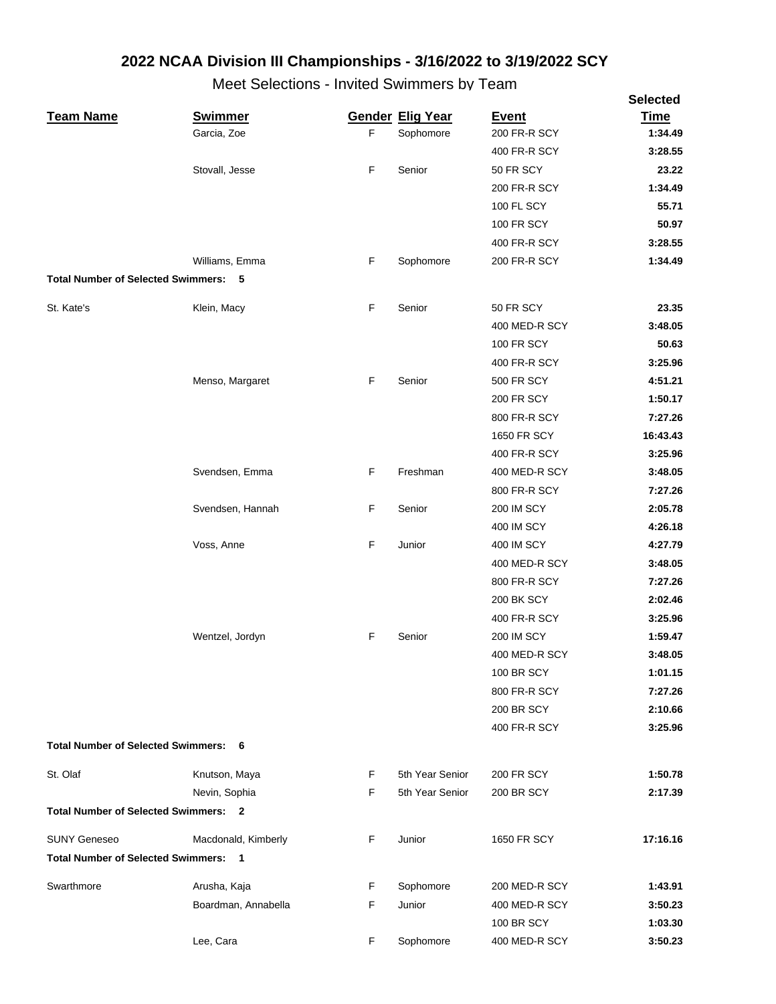|                                             |                     |   |                         |                   | <b>Selected</b> |
|---------------------------------------------|---------------------|---|-------------------------|-------------------|-----------------|
| <b>Team Name</b>                            | <b>Swimmer</b>      |   | <b>Gender Elig Year</b> | <b>Event</b>      | <b>Time</b>     |
|                                             | Garcia, Zoe         | F | Sophomore               | 200 FR-R SCY      | 1:34.49         |
|                                             |                     |   |                         | 400 FR-R SCY      | 3:28.55         |
|                                             | Stovall, Jesse      | F | Senior                  | 50 FR SCY         | 23.22           |
|                                             |                     |   |                         | 200 FR-R SCY      | 1:34.49         |
|                                             |                     |   |                         | 100 FL SCY        | 55.71           |
|                                             |                     |   |                         | <b>100 FR SCY</b> | 50.97           |
|                                             |                     |   |                         | 400 FR-R SCY      | 3:28.55         |
|                                             | Williams, Emma      | F | Sophomore               | 200 FR-R SCY      | 1:34.49         |
| <b>Total Number of Selected Swimmers: 5</b> |                     |   |                         |                   |                 |
| St. Kate's                                  | Klein, Macy         | F | Senior                  | 50 FR SCY         | 23.35           |
|                                             |                     |   |                         | 400 MED-R SCY     | 3:48.05         |
|                                             |                     |   |                         | <b>100 FR SCY</b> | 50.63           |
|                                             |                     |   |                         | 400 FR-R SCY      | 3:25.96         |
|                                             | Menso, Margaret     | F | Senior                  | <b>500 FR SCY</b> | 4:51.21         |
|                                             |                     |   |                         | <b>200 FR SCY</b> | 1:50.17         |
|                                             |                     |   |                         | 800 FR-R SCY      | 7:27.26         |
|                                             |                     |   |                         | 1650 FR SCY       | 16:43.43        |
|                                             |                     |   |                         | 400 FR-R SCY      | 3:25.96         |
|                                             | Svendsen, Emma      | F | Freshman                | 400 MED-R SCY     | 3:48.05         |
|                                             |                     |   |                         | 800 FR-R SCY      | 7:27.26         |
|                                             | Svendsen, Hannah    | F | Senior                  | <b>200 IM SCY</b> | 2:05.78         |
|                                             |                     |   |                         | 400 IM SCY        | 4:26.18         |
|                                             | Voss, Anne          | F | Junior                  | 400 IM SCY        | 4:27.79         |
|                                             |                     |   |                         | 400 MED-R SCY     | 3:48.05         |
|                                             |                     |   |                         | 800 FR-R SCY      | 7:27.26         |
|                                             |                     |   |                         | <b>200 BK SCY</b> | 2:02.46         |
|                                             |                     |   |                         | 400 FR-R SCY      | 3:25.96         |
|                                             | Wentzel, Jordyn     | F | Senior                  | <b>200 IM SCY</b> | 1:59.47         |
|                                             |                     |   |                         | 400 MED-R SCY     | 3:48.05         |
|                                             |                     |   |                         | <b>100 BR SCY</b> | 1:01.15         |
|                                             |                     |   |                         | 800 FR-R SCY      | 7:27.26         |
|                                             |                     |   |                         | <b>200 BR SCY</b> | 2:10.66         |
|                                             |                     |   |                         | 400 FR-R SCY      | 3:25.96         |
| <b>Total Number of Selected Swimmers:</b>   | 6                   |   |                         |                   |                 |
| St. Olaf                                    | Knutson, Maya       | F | 5th Year Senior         | <b>200 FR SCY</b> | 1:50.78         |
|                                             | Nevin, Sophia       | F | 5th Year Senior         | <b>200 BR SCY</b> | 2:17.39         |
| <b>Total Number of Selected Swimmers: 2</b> |                     |   |                         |                   |                 |
|                                             |                     |   |                         |                   |                 |
| <b>SUNY Geneseo</b>                         | Macdonald, Kimberly | F | Junior                  | 1650 FR SCY       | 17:16.16        |
| <b>Total Number of Selected Swimmers: 1</b> |                     |   |                         |                   |                 |
| Swarthmore                                  | Arusha, Kaja        | F | Sophomore               | 200 MED-R SCY     | 1:43.91         |
|                                             | Boardman, Annabella | F | Junior                  | 400 MED-R SCY     | 3:50.23         |
|                                             |                     |   |                         | <b>100 BR SCY</b> | 1:03.30         |
|                                             | Lee, Cara           | F | Sophomore               | 400 MED-R SCY     | 3:50.23         |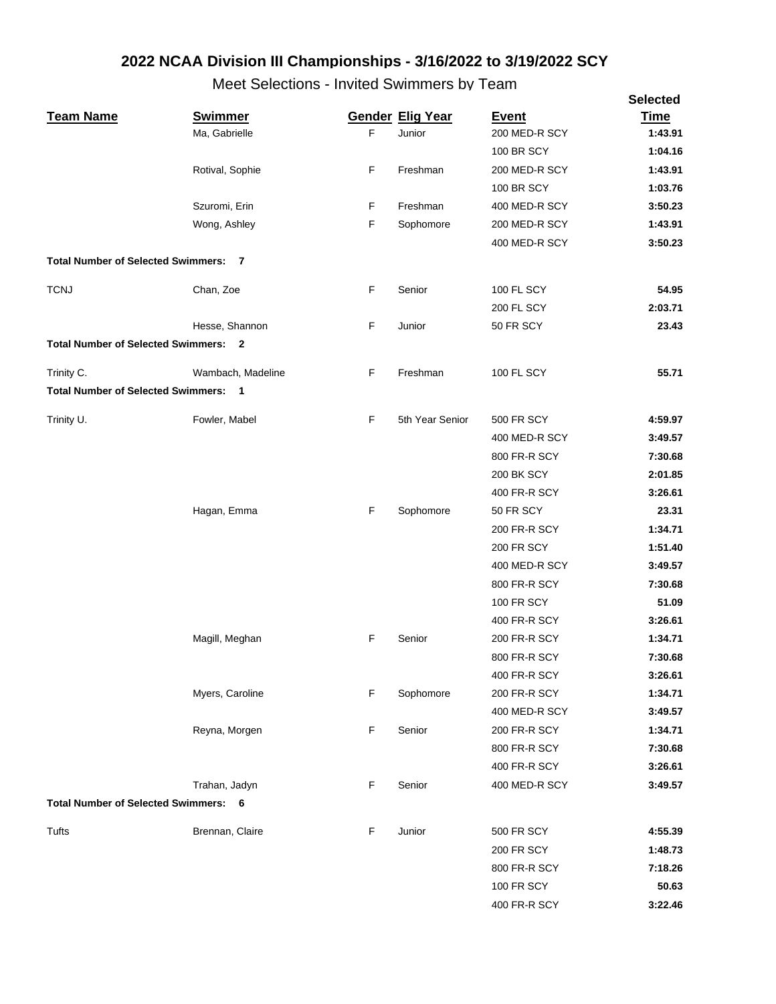|                                             |                   |    |                         |                   | <b>Selected</b> |
|---------------------------------------------|-------------------|----|-------------------------|-------------------|-----------------|
| <b>Team Name</b>                            | <b>Swimmer</b>    |    | <b>Gender Elig Year</b> | <b>Event</b>      | <b>Time</b>     |
|                                             | Ma, Gabrielle     | F. | Junior                  | 200 MED-R SCY     | 1:43.91         |
|                                             |                   |    |                         | <b>100 BR SCY</b> | 1:04.16         |
|                                             | Rotival, Sophie   | F  | Freshman                | 200 MED-R SCY     | 1:43.91         |
|                                             |                   |    |                         | <b>100 BR SCY</b> | 1:03.76         |
|                                             | Szuromi, Erin     | F  | Freshman                | 400 MED-R SCY     | 3:50.23         |
|                                             | Wong, Ashley      | F  | Sophomore               | 200 MED-R SCY     | 1:43.91         |
|                                             |                   |    |                         | 400 MED-R SCY     | 3:50.23         |
| <b>Total Number of Selected Swimmers:</b>   | $\overline{7}$    |    |                         |                   |                 |
| <b>TCNJ</b>                                 | Chan, Zoe         | F  | Senior                  | 100 FL SCY        | 54.95           |
|                                             |                   |    |                         | <b>200 FL SCY</b> | 2:03.71         |
|                                             | Hesse, Shannon    | F  | Junior                  | 50 FR SCY         | 23.43           |
| <b>Total Number of Selected Swimmers: 2</b> |                   |    |                         |                   |                 |
| Trinity C.                                  | Wambach, Madeline | F  | Freshman                | <b>100 FL SCY</b> | 55.71           |
| <b>Total Number of Selected Swimmers:</b>   | $\blacksquare$    |    |                         |                   |                 |
| Trinity U.                                  | Fowler, Mabel     | F  | 5th Year Senior         | <b>500 FR SCY</b> | 4:59.97         |
|                                             |                   |    |                         | 400 MED-R SCY     | 3:49.57         |
|                                             |                   |    |                         | 800 FR-R SCY      | 7:30.68         |
|                                             |                   |    |                         | 200 BK SCY        | 2:01.85         |
|                                             |                   |    |                         | 400 FR-R SCY      | 3:26.61         |
|                                             | Hagan, Emma       | F  | Sophomore               | 50 FR SCY         | 23.31           |
|                                             |                   |    |                         | 200 FR-R SCY      | 1:34.71         |
|                                             |                   |    |                         | <b>200 FR SCY</b> | 1:51.40         |
|                                             |                   |    |                         | 400 MED-R SCY     | 3:49.57         |
|                                             |                   |    |                         | 800 FR-R SCY      | 7:30.68         |
|                                             |                   |    |                         | <b>100 FR SCY</b> | 51.09           |
|                                             |                   |    |                         | 400 FR-R SCY      | 3:26.61         |
|                                             | Magill, Meghan    | F  | Senior                  | 200 FR-R SCY      | 1:34.71         |
|                                             |                   |    |                         | 800 FR-R SCY      | 7:30.68         |
|                                             |                   |    |                         | 400 FR-R SCY      | 3:26.61         |
|                                             | Myers, Caroline   | F  | Sophomore               | 200 FR-R SCY      | 1:34.71         |
|                                             |                   |    |                         | 400 MED-R SCY     | 3:49.57         |
|                                             | Reyna, Morgen     | F  | Senior                  | 200 FR-R SCY      | 1:34.71         |
|                                             |                   |    |                         | 800 FR-R SCY      | 7:30.68         |
|                                             |                   |    |                         | 400 FR-R SCY      | 3:26.61         |
|                                             | Trahan, Jadyn     | F  | Senior                  |                   | 3:49.57         |
| <b>Total Number of Selected Swimmers: 6</b> |                   |    |                         | 400 MED-R SCY     |                 |
|                                             |                   |    |                         |                   |                 |
| Tufts                                       | Brennan, Claire   | F  | Junior                  | 500 FR SCY        | 4:55.39         |
|                                             |                   |    |                         | <b>200 FR SCY</b> | 1:48.73         |
|                                             |                   |    |                         | 800 FR-R SCY      | 7:18.26         |
|                                             |                   |    |                         | <b>100 FR SCY</b> | 50.63           |
|                                             |                   |    |                         | 400 FR-R SCY      | 3:22.46         |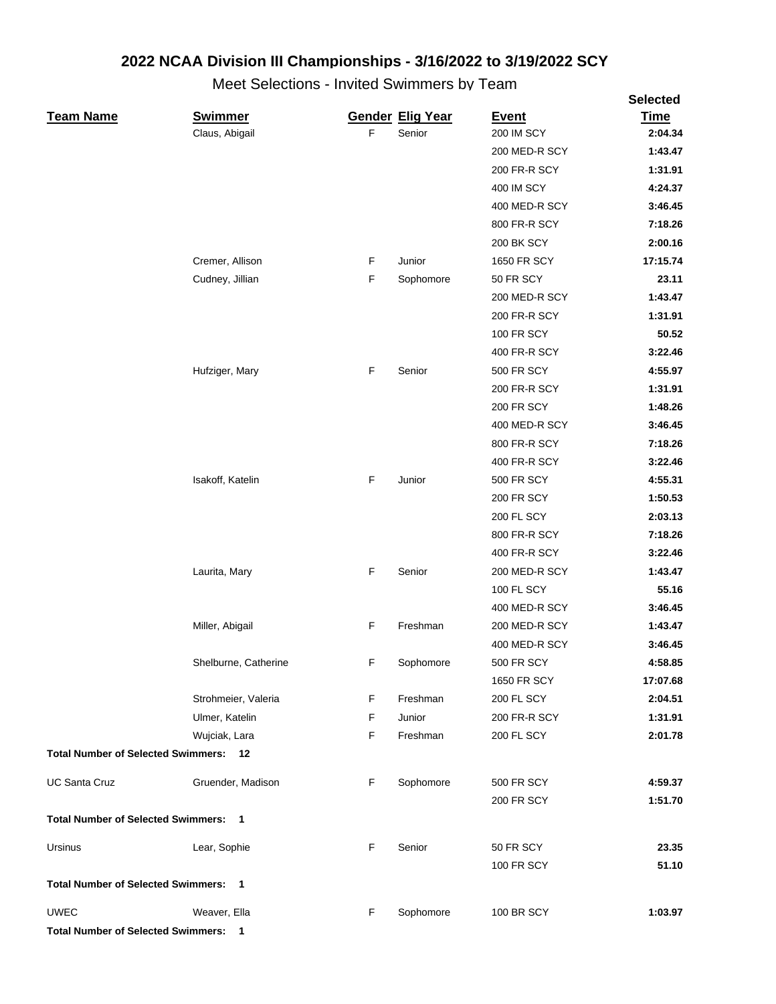|                                              |                      |   |                         |                   | <b>Selected</b> |
|----------------------------------------------|----------------------|---|-------------------------|-------------------|-----------------|
| <b>Team Name</b>                             | <b>Swimmer</b>       |   | <b>Gender Elig Year</b> | <b>Event</b>      | <b>Time</b>     |
|                                              | Claus, Abigail       | F | Senior                  | <b>200 IM SCY</b> | 2:04.34         |
|                                              |                      |   |                         | 200 MED-R SCY     | 1:43.47         |
|                                              |                      |   |                         | 200 FR-R SCY      | 1:31.91         |
|                                              |                      |   |                         | <b>400 IM SCY</b> | 4:24.37         |
|                                              |                      |   |                         | 400 MED-R SCY     | 3:46.45         |
|                                              |                      |   |                         | 800 FR-R SCY      | 7:18.26         |
|                                              |                      |   |                         | 200 BK SCY        | 2:00.16         |
|                                              | Cremer, Allison      | F | Junior                  | 1650 FR SCY       | 17:15.74        |
|                                              | Cudney, Jillian      | F | Sophomore               | 50 FR SCY         | 23.11           |
|                                              |                      |   |                         | 200 MED-R SCY     | 1:43.47         |
|                                              |                      |   |                         | 200 FR-R SCY      | 1:31.91         |
|                                              |                      |   |                         | <b>100 FR SCY</b> | 50.52           |
|                                              |                      |   |                         | 400 FR-R SCY      | 3:22.46         |
|                                              | Hufziger, Mary       | F | Senior                  | <b>500 FR SCY</b> | 4:55.97         |
|                                              |                      |   |                         | 200 FR-R SCY      | 1:31.91         |
|                                              |                      |   |                         | <b>200 FR SCY</b> | 1:48.26         |
|                                              |                      |   |                         | 400 MED-R SCY     | 3:46.45         |
|                                              |                      |   |                         | 800 FR-R SCY      | 7:18.26         |
|                                              |                      |   |                         | 400 FR-R SCY      | 3:22.46         |
|                                              | Isakoff, Katelin     | F | Junior                  | <b>500 FR SCY</b> | 4:55.31         |
|                                              |                      |   |                         | <b>200 FR SCY</b> | 1:50.53         |
|                                              |                      |   |                         | <b>200 FL SCY</b> | 2:03.13         |
|                                              |                      |   |                         | 800 FR-R SCY      | 7:18.26         |
|                                              |                      |   |                         | 400 FR-R SCY      | 3:22.46         |
|                                              | Laurita, Mary        | F | Senior                  | 200 MED-R SCY     | 1:43.47         |
|                                              |                      |   |                         | <b>100 FL SCY</b> | 55.16           |
|                                              |                      |   |                         | 400 MED-R SCY     | 3:46.45         |
|                                              | Miller, Abigail      | F | Freshman                | 200 MED-R SCY     | 1:43.47         |
|                                              |                      |   |                         | 400 MED-R SCY     | 3:46.45         |
|                                              | Shelburne, Catherine | F | Sophomore               | 500 FR SCY        | 4:58.85         |
|                                              |                      |   |                         | 1650 FR SCY       | 17:07.68        |
|                                              | Strohmeier, Valeria  | F | Freshman                | <b>200 FL SCY</b> | 2:04.51         |
|                                              | Ulmer, Katelin       | F | Junior                  | 200 FR-R SCY      | 1:31.91         |
|                                              | Wujciak, Lara        | F | Freshman                | <b>200 FL SCY</b> | 2:01.78         |
| <b>Total Number of Selected Swimmers: 12</b> |                      |   |                         |                   |                 |
| <b>UC Santa Cruz</b>                         | Gruender, Madison    | F | Sophomore               | <b>500 FR SCY</b> | 4:59.37         |
| <b>Total Number of Selected Swimmers: 1</b>  |                      |   |                         | <b>200 FR SCY</b> | 1:51.70         |
|                                              |                      |   |                         |                   |                 |
| Ursinus                                      | Lear, Sophie         | F | Senior                  | 50 FR SCY         | 23.35           |
|                                              |                      |   |                         | <b>100 FR SCY</b> | 51.10           |
| <b>Total Number of Selected Swimmers: 1</b>  |                      |   |                         |                   |                 |
| <b>UWEC</b>                                  | Weaver, Ella         | F | Sophomore               | 100 BR SCY        | 1:03.97         |
| <b>Total Number of Selected Swimmers: 1</b>  |                      |   |                         |                   |                 |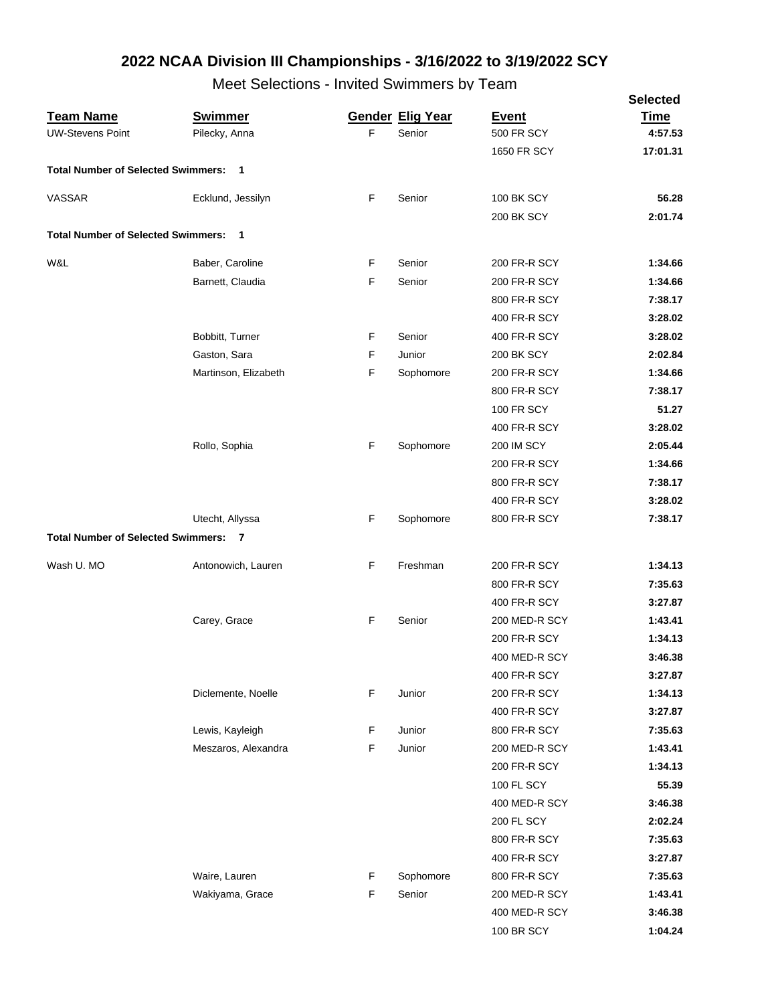|                                             |                      |   |                         |                   | <b>Selected</b> |
|---------------------------------------------|----------------------|---|-------------------------|-------------------|-----------------|
| <b>Team Name</b>                            | <b>Swimmer</b>       |   | <b>Gender Elig Year</b> | <b>Event</b>      | <b>Time</b>     |
| <b>UW-Stevens Point</b>                     | Pilecky, Anna        | F | Senior                  | <b>500 FR SCY</b> | 4:57.53         |
|                                             |                      |   |                         | 1650 FR SCY       | 17:01.31        |
| <b>Total Number of Selected Swimmers: 1</b> |                      |   |                         |                   |                 |
| VASSAR                                      | Ecklund, Jessilyn    | F | Senior                  | <b>100 BK SCY</b> | 56.28           |
|                                             |                      |   |                         | 200 BK SCY        | 2:01.74         |
| <b>Total Number of Selected Swimmers:</b>   | $\blacksquare$       |   |                         |                   |                 |
| W&L                                         | Baber, Caroline      | F | Senior                  | 200 FR-R SCY      | 1:34.66         |
|                                             | Barnett, Claudia     | F | Senior                  | 200 FR-R SCY      | 1:34.66         |
|                                             |                      |   |                         | 800 FR-R SCY      | 7:38.17         |
|                                             |                      |   |                         | 400 FR-R SCY      | 3:28.02         |
|                                             | Bobbitt, Turner      | F | Senior                  | 400 FR-R SCY      | 3:28.02         |
|                                             | Gaston, Sara         | F | Junior                  | 200 BK SCY        | 2:02.84         |
|                                             | Martinson, Elizabeth | F | Sophomore               | 200 FR-R SCY      | 1:34.66         |
|                                             |                      |   |                         | 800 FR-R SCY      | 7:38.17         |
|                                             |                      |   |                         | <b>100 FR SCY</b> | 51.27           |
|                                             |                      |   |                         | 400 FR-R SCY      | 3:28.02         |
|                                             | Rollo, Sophia        | F | Sophomore               | 200 IM SCY        | 2:05.44         |
|                                             |                      |   |                         | 200 FR-R SCY      | 1:34.66         |
|                                             |                      |   |                         | 800 FR-R SCY      | 7:38.17         |
|                                             |                      |   |                         | 400 FR-R SCY      | 3:28.02         |
|                                             | Utecht, Allyssa      | F | Sophomore               | 800 FR-R SCY      | 7:38.17         |
| <b>Total Number of Selected Swimmers: 7</b> |                      |   |                         |                   |                 |
|                                             |                      |   |                         |                   |                 |
| Wash U. MO                                  | Antonowich, Lauren   | F | Freshman                | 200 FR-R SCY      | 1:34.13         |
|                                             |                      |   |                         | 800 FR-R SCY      | 7:35.63         |
|                                             |                      |   |                         | 400 FR-R SCY      | 3:27.87         |
|                                             | Carey, Grace         | F | Senior                  | 200 MED-R SCY     | 1:43.41         |
|                                             |                      |   |                         | 200 FR-R SCY      | 1:34.13         |
|                                             |                      |   |                         | 400 MED-R SCY     | 3:46.38         |
|                                             |                      |   |                         | 400 FR-R SCY      | 3:27.87         |
|                                             | Diclemente, Noelle   | F | Junior                  | 200 FR-R SCY      | 1:34.13         |
|                                             |                      |   |                         | 400 FR-R SCY      | 3:27.87         |
|                                             | Lewis, Kayleigh      | F | Junior                  | 800 FR-R SCY      | 7:35.63         |
|                                             | Meszaros, Alexandra  | F | Junior                  | 200 MED-R SCY     | 1:43.41         |
|                                             |                      |   |                         | 200 FR-R SCY      | 1:34.13         |
|                                             |                      |   |                         | 100 FL SCY        | 55.39           |
|                                             |                      |   |                         | 400 MED-R SCY     | 3:46.38         |
|                                             |                      |   |                         | 200 FL SCY        | 2:02.24         |
|                                             |                      |   |                         | 800 FR-R SCY      | 7:35.63         |
|                                             |                      |   |                         | 400 FR-R SCY      | 3:27.87         |
|                                             | Waire, Lauren        | F | Sophomore               | 800 FR-R SCY      | 7:35.63         |
|                                             | Wakiyama, Grace      | F | Senior                  | 200 MED-R SCY     | 1:43.41         |
|                                             |                      |   |                         | 400 MED-R SCY     | 3:46.38         |
|                                             |                      |   |                         | 100 BR SCY        | 1:04.24         |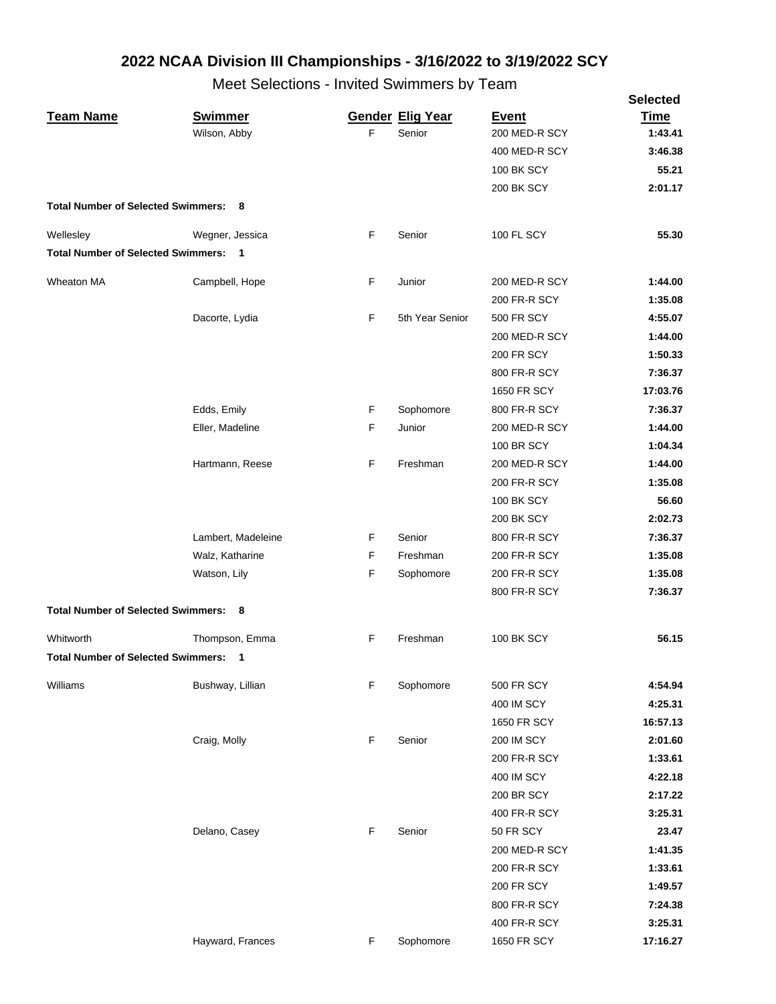|                                             |                    |   |                         |                   | <b>Selected</b> |
|---------------------------------------------|--------------------|---|-------------------------|-------------------|-----------------|
| <b>Team Name</b>                            | <b>Swimmer</b>     |   | <b>Gender Elig Year</b> | <b>Event</b>      | <b>Time</b>     |
|                                             | Wilson, Abby       | F | Senior                  | 200 MED-R SCY     | 1:43.41         |
|                                             |                    |   |                         | 400 MED-R SCY     | 3:46.38         |
|                                             |                    |   |                         | 100 BK SCY        | 55.21           |
|                                             |                    |   |                         | <b>200 BK SCY</b> | 2:01.17         |
| <b>Total Number of Selected Swimmers: 8</b> |                    |   |                         |                   |                 |
| Wellesley                                   | Wegner, Jessica    | F | Senior                  | 100 FL SCY        | 55.30           |
| <b>Total Number of Selected Swimmers:</b>   | $\blacksquare$     |   |                         |                   |                 |
| Wheaton MA                                  | Campbell, Hope     | F | Junior                  | 200 MED-R SCY     | 1:44.00         |
|                                             |                    |   |                         | 200 FR-R SCY      | 1:35.08         |
|                                             | Dacorte, Lydia     | F | 5th Year Senior         | <b>500 FR SCY</b> | 4:55.07         |
|                                             |                    |   |                         | 200 MED-R SCY     | 1:44.00         |
|                                             |                    |   |                         | <b>200 FR SCY</b> | 1:50.33         |
|                                             |                    |   |                         | 800 FR-R SCY      | 7:36.37         |
|                                             |                    |   |                         | 1650 FR SCY       | 17:03.76        |
|                                             | Edds, Emily        | F | Sophomore               | 800 FR-R SCY      | 7:36.37         |
|                                             | Eller, Madeline    | F | Junior                  | 200 MED-R SCY     | 1:44.00         |
|                                             |                    |   |                         | <b>100 BR SCY</b> | 1:04.34         |
|                                             | Hartmann, Reese    | F | Freshman                | 200 MED-R SCY     | 1:44.00         |
|                                             |                    |   |                         | 200 FR-R SCY      | 1:35.08         |
|                                             |                    |   |                         | <b>100 BK SCY</b> | 56.60           |
|                                             |                    |   |                         | <b>200 BK SCY</b> | 2:02.73         |
|                                             | Lambert, Madeleine | F | Senior                  | 800 FR-R SCY      | 7:36.37         |
|                                             | Walz, Katharine    | F | Freshman                | 200 FR-R SCY      | 1:35.08         |
|                                             |                    | F |                         | 200 FR-R SCY      | 1:35.08         |
|                                             | Watson, Lily       |   | Sophomore               | 800 FR-R SCY      | 7:36.37         |
| <b>Total Number of Selected Swimmers: 8</b> |                    |   |                         |                   |                 |
|                                             |                    |   |                         |                   |                 |
| Whitworth                                   | Thompson, Emma     | F | Freshman                | <b>100 BK SCY</b> | 56.15           |
| Total Number of Selected Swimmers: 1        |                    |   |                         |                   |                 |
| Williams                                    | Bushway, Lillian   | F | Sophomore               | <b>500 FR SCY</b> | 4:54.94         |
|                                             |                    |   |                         | 400 IM SCY        | 4:25.31         |
|                                             |                    |   |                         | 1650 FR SCY       | 16:57.13        |
|                                             | Craig, Molly       | F | Senior                  | <b>200 IM SCY</b> | 2:01.60         |
|                                             |                    |   |                         | 200 FR-R SCY      | 1:33.61         |
|                                             |                    |   |                         | 400 IM SCY        | 4:22.18         |
|                                             |                    |   |                         | <b>200 BR SCY</b> | 2:17.22         |
|                                             |                    |   |                         | 400 FR-R SCY      | 3:25.31         |
|                                             | Delano, Casey      | F | Senior                  | 50 FR SCY         | 23.47           |
|                                             |                    |   |                         | 200 MED-R SCY     | 1:41.35         |
|                                             |                    |   |                         | 200 FR-R SCY      | 1:33.61         |
|                                             |                    |   |                         | <b>200 FR SCY</b> | 1:49.57         |
|                                             |                    |   |                         | 800 FR-R SCY      | 7:24.38         |
|                                             |                    |   |                         | 400 FR-R SCY      | 3:25.31         |
|                                             | Hayward, Frances   | F | Sophomore               | 1650 FR SCY       | 17:16.27        |
|                                             |                    |   |                         |                   |                 |